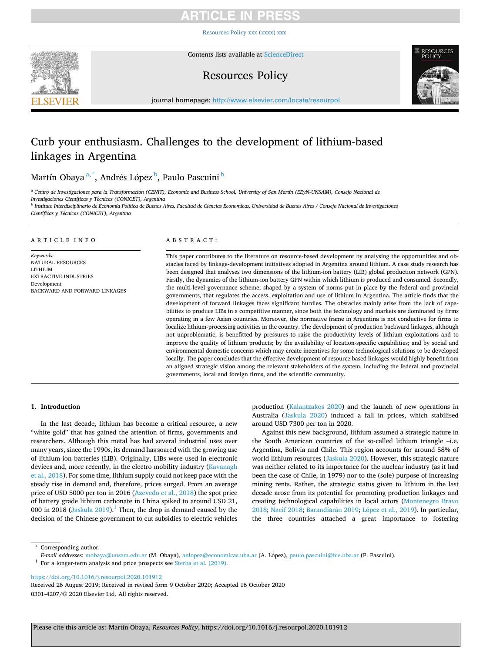[Resources Policy xxx \(xxxx\) xxx](https://doi.org/10.1016/j.resourpol.2020.101912)



Contents lists available at [ScienceDirect](www.sciencedirect.com/science/journal/03014207)

# Resources Policy



journal homepage: [http://www.elsevier.com/locate/resourpol](https://http://www.elsevier.com/locate/resourpol)

# Curb your enthusiasm. Challenges to the development of lithium-based linkages in Argentina

# Martín Obaya <sup>a, \*</sup>, Andrés López <sup>b</sup>, Paulo Pascuini <sup>b</sup>

<sup>a</sup> Centro de Investigaciones para la Transformación (CENIT), Economic and Business School, University of San Martín (EEyN-UNSAM), Consejo Nacional de *Investigaciones Científicas y T*´*ecnicas (CONICET), Argentina* 

<sup>b</sup> *Instituto Interdisciplinario de Economía Política de Buenos Aires, Facultad de Ciencias Economicas, Universidad de Buenos Aires / Consejo Nacional de Investigaciones Científicas y T*´*ecnicas (CONICET), Argentina* 

ARTICLE INFO

*Keywords:*  NATURAL RESOURCES LITHIUM EXTRACTIVE INDUSTRIES Development BACKWARD AND FORWARD LINKAGES

#### ABSTRACT:

This paper contributes to the literature on resource-based development by analysing the opportunities and obstacles faced by linkage-development initiatives adopted in Argentina around lithium. A case study research has been designed that analyses two dimensions of the lithium-ion battery (LIB) global production network (GPN). Firstly, the dynamics of the lithium-ion battery GPN within which lithium is produced and consumed. Secondly, the multi-level governance scheme, shaped by a system of norms put in place by the federal and provincial governments, that regulates the access, exploitation and use of lithium in Argentina. The article finds that the development of forward linkages faces significant hurdles. The obstacles mainly arise from the lack of capabilities to produce LIBs in a competitive manner, since both the technology and markets are dominated by firms operating in a few Asian countries. Moreover, the normative frame in Argentina is not conductive for firms to localize lithium-processing activities in the country. The development of production backward linkages, although not unproblematic, is benefitted by pressures to raise the productivity levels of lithium exploitations and to improve the quality of lithium products; by the availability of location-specific capabilities; and by social and environmental domestic concerns which may create incentives for some technological solutions to be developed locally. The paper concludes that the effective development of resource based linkages would highly benefit from an aligned strategic vision among the relevant stakeholders of the system, including the federal and provincial governments, local and foreign firms, and the scientific community.

### **1. Introduction**

In the last decade, lithium has become a critical resource, a new "white gold" that has gained the attention of firms, governments and researchers. Although this metal has had several industrial uses over many years, since the 1990s, its demand has soared with the growing use of lithium-ion batteries (LIB). Originally, LIBs were used in electronic devices and, more recently, in the electro mobility industry (Kavanagh [et al., 2018\)](#page-12-0). For some time, lithium supply could not keep pace with the steady rise in demand and, therefore, prices surged. From an average price of USD 5000 per ton in 2016 ([Azevedo et al., 2018\)](#page-12-0) the spot price of battery grade lithium carbonate in China spiked to around USD 21, 000 in 2018 ([Jaskula 2019](#page-12-0)).<sup>1</sup> Then, the drop in demand caused by the decision of the Chinese government to cut subsidies to electric vehicles production ([Kalantzakos 2020\)](#page-12-0) and the launch of new operations in Australia ([Jaskula 2020\)](#page-12-0) induced a fall in prices, which stabilised around USD 7300 per ton in 2020.

Against this new background, lithium assumed a strategic nature in the South American countries of the so-called lithium triangle –i.e. Argentina, Bolivia and Chile. This region accounts for around 58% of world lithium resources [\(Jaskula 2020](#page-12-0)). However, this strategic nature was neither related to its importance for the nuclear industry (as it had been the case of Chile, in 1979) nor to the (sole) purpose of increasing mining rents. Rather, the strategic status given to lithium in the last decade arose from its potential for promoting production linkages and creating technological capabilities in local actors [\(Montenegro Bravo](#page-12-0)  [2018;](#page-12-0) [Nacif 2018;](#page-13-0) Barandiarán 2019; López [et al., 2019\)](#page-12-0). In particular, the three countries attached a great importance to fostering

\* Corresponding author.

*E-mail addresses: mobaya@unsam.edu.ar* (M. Obaya), anlopez@economicas.uba.ar (A. López), [paulo.pascuini@fce.uba.ar](mailto:paulo.pascuini@fce.uba.ar) (P. Pascuini). <sup>1</sup> For a longer-term analysis and price prospects see [Sterba et al. \(2019\)](#page-13-0).

<https://doi.org/10.1016/j.resourpol.2020.101912>

0301-4207/© 2020 Elsevier Ltd. All rights reserved. Received 26 August 2019; Received in revised form 9 October 2020; Accepted 16 October 2020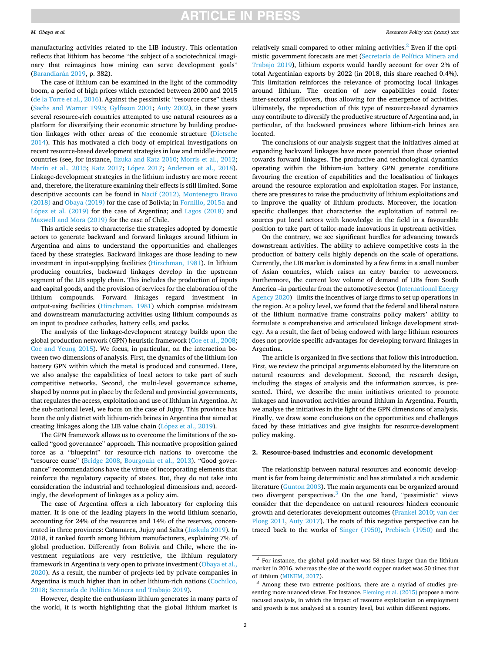#### *M. Obaya et al.*

manufacturing activities related to the LIB industry. This orientation reflects that lithium has become "the subject of a sociotechnical imaginary that reimagines how mining can serve development goals" ([Barandiar](#page-12-0)án 2019, p. 382).

The case of lithium can be examined in the light of the commodity boom, a period of high prices which extended between 2000 and 2015 ([de la Torre et al., 2016](#page-12-0)). Against the pessimistic "resource curse" thesis ([Sachs and Warner 1995;](#page-13-0) [Gylfason 2001;](#page-12-0) [Auty 2002](#page-12-0)), in these years several resource-rich countries attempted to use natural resources as a platform for diversifying their economic structure by building production linkages with other areas of the economic structure ([Dietsche](#page-12-0)  [2014\)](#page-12-0). This has motivated a rich body of empirical investigations on recent resource-based development strategies in low and middle-income countries (see, for instance, [Iizuka and Katz 2010;](#page-12-0) [Morris et al., 2012](#page-12-0); [Marín et al., 2015;](#page-12-0) [Katz 2017](#page-12-0); López 2017; [Andersen et al., 2018](#page-11-0)). Linkage-development strategies in the lithium industry are more recent and, therefore, the literature examining their effects is still limited. Some descriptive accounts can be found in [Nacif \(2012\),](#page-12-0) [Montenegro Bravo](#page-12-0)  [\(2018\)](#page-12-0) and [Obaya \(2019\)](#page-13-0) for the case of Bolivia; in [Fornillo, 2015a](#page-12-0) and López et al.  $(2019)$  for the case of Argentina; and Lagos  $(2018)$  and [Maxwell and Mora \(2019\)](#page-12-0) for the case of Chile.

This article seeks to characterise the strategies adopted by domestic actors to generate backward and forward linkages around lithium in Argentina and aims to understand the opportunities and challenges faced by these strategies. Backward linkages are those leading to new investment in input-supplying facilities [\(Hirschman, 1981\)](#page-12-0). In lithium producing countries, backward linkages develop in the upstream segment of the LIB supply chain. This includes the production of inputs and capital goods, and the provision of services for the elaboration of the lithium compounds. Forward linkages regard investment in output-using facilities [\(Hirschman, 1981](#page-12-0)) which comprise midstream and downstream manufacturing activities using lithium compounds as an input to produce cathodes, battery cells, and packs.

The analysis of the linkage-development strategy builds upon the global production network (GPN) heuristic framework [\(Coe et al., 2008](#page-12-0); [Coe and Yeung 2015](#page-12-0)). We focus, in particular, on the interaction between two dimensions of analysis. First, the dynamics of the lithium-ion battery GPN within which the metal is produced and consumed. Here, we also analyse the capabilities of local actors to take part of such competitive networks. Second, the multi-level governance scheme, shaped by norms put in place by the federal and provincial governments, that regulates the access, exploitation and use of lithium in Argentina. At the sub-national level, we focus on the case of Jujuy. This province has been the only district with lithium-rich brines in Argentina that aimed at creating linkages along the LIB value chain (López [et al., 2019\)](#page-12-0).

The GPN framework allows us to overcome the limitations of the socalled "good governance" approach. This normative proposition gained force as a "blueprint" for resource-rich nations to overcome the "resource curse" [\(Bridge 2008](#page-12-0), [Bourgouin et al., 2013\)](#page-12-0). "Good governance" recommendations have the virtue of incorporating elements that reinforce the regulatory capacity of states. But, they do not take into consideration the industrial and technological dimensions and, accordingly, the development of linkages as a policy aim.

The case of Argentina offers a rich laboratory for exploring this matter. It is one of the leading players in the world lithium scenario, accounting for 24% of the resources and 14% of the reserves, concentrated in three provinces: Catamarca, Jujuy and Salta [\(Jaskula 2019](#page-12-0)). In 2018, it ranked fourth among lithium manufacturers, explaining 7% of global production. Differently from Bolivia and Chile, where the investment regulations are very restrictive, the lithium regulatory framework in Argentina is very open to private investment (Obaya et al., [2020\)](#page-13-0). As a result, the number of projects led by private companies in Argentina is much higher than in other lithium-rich nations ([Cochilco,](#page-12-0)  [2018;](#page-12-0) [Secretaría de Política Minera and Trabajo 2019\)](#page-13-0).

However, despite the enthusiasm lithium generates in many parts of the world, it is worth highlighting that the global lithium market is

relatively small compared to other mining activities.<sup>2</sup> Even if the optimistic government forecasts are met ([Secretaría de Política Minera and](#page-13-0)  [Trabajo 2019\)](#page-13-0), lithium exports would hardly account for over 2% of total Argentinian exports by 2022 (in 2018, this share reached 0.4%). This limitation reinforces the relevance of promoting local linkages around lithium. The creation of new capabilities could foster inter-sectoral spillovers, thus allowing for the emergence of activities. Ultimately, the reproduction of this type of resource-based dynamics may contribute to diversify the productive structure of Argentina and, in particular, of the backward provinces where lithium-rich brines are located.

The conclusions of our analysis suggest that the initiatives aimed at expanding backward linkages have more potential than those oriented towards forward linkages. The productive and technological dynamics operating within the lithium-ion battery GPN generate conditions favouring the creation of capabilities and the localisation of linkages around the resource exploration and exploitation stages. For instance, there are pressures to raise the productivity of lithium exploitations and to improve the quality of lithium products. Moreover, the locationspecific challenges that characterise the exploitation of natural resources put local actors with knowledge in the field in a favourable position to take part of tailor-made innovations in upstream activities.

On the contrary, we see significant hurdles for advancing towards downstream activities. The ability to achieve competitive costs in the production of battery cells highly depends on the scale of operations. Currently, the LIB market is dominated by a few firms in a small number of Asian countries, which raises an entry barrier to newcomers. Furthermore, the current low volume of demand of LIBs from South America –in particular from the automotive sector [\(International Energy](#page-12-0)  [Agency 2020](#page-12-0))– limits the incentives of large firms to set up operations in the region. At a policy level, we found that the federal and liberal nature of the lithium normative frame constrains policy makers' ability to formulate a comprehensive and articulated linkage development strategy. As a result, the fact of being endowed with large lithium resources does not provide specific advantages for developing forward linkages in Argentina.

The article is organized in five sections that follow this introduction. First, we review the principal arguments elaborated by the literature on natural resources and development. Second, the research design, including the stages of analysis and the information sources, is presented. Third, we describe the main initiatives oriented to promote linkages and innovation activities around lithium in Argentina. Fourth, we analyse the initiatives in the light of the GPN dimensions of analysis. Finally, we draw some conclusions on the opportunities and challenges faced by these initiatives and give insights for resource-development policy making.

### **2. Resource-based industries and economic development**

The relationship between natural resources and economic development is far from being deterministic and has stimulated a rich academic literature [\(Gunton 2003](#page-12-0)). The main arguments can be organized around two divergent perspectives.3 On the one hand, "pessimistic" views consider that the dependence on natural resources hinders economic growth and deteriorates development outcomes ([Frankel 2010;](#page-12-0) [van der](#page-13-0)  [Ploeg 2011,](#page-13-0) [Auty 2017](#page-12-0)). The roots of this negative perspective can be traced back to the works of [Singer \(1950\),](#page-13-0) [Prebisch \(1950\)](#page-13-0) and the

<sup>2</sup> For instance, the global gold market was 58 times larger than the lithium market in 2016, whereas the size of the world copper market was 50 times that of lithium ( $MINEM$ , 2017).<br><sup>3</sup> Among these two extreme positions, there are a myriad of studies pre-

senting more nuanced views. For instance, [Fleming et al. \(2015\)](#page-12-0) propose a more focused analysis, in which the impact of resource exploitation on employment and growth is not analysed at a country level, but within different regions.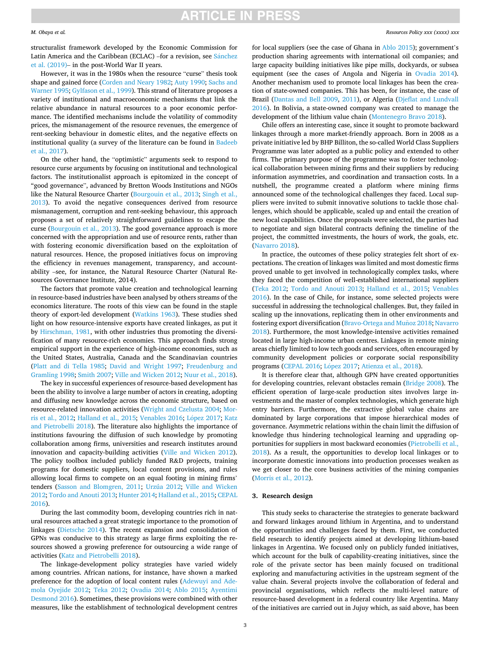### *M. Obaya et al.*

structuralist framework developed by the Economic Commission for Latin America and the Caribbean (ECLAC) -for a revision, see Sánchez [et al. \(2019\)](#page-13-0)– in the post-World War II years.

However, it was in the 1980s when the resource "curse" thesis took shape and gained force ([Corden and Neary 1982; Auty 1990](#page-12-0); [Sachs and](#page-13-0)  [Warner 1995;](#page-13-0) [Gylfason et al., 1999\)](#page-12-0). This strand of literature proposes a variety of institutional and macroeconomic mechanisms that link the relative abundance in natural resources to a poor economic performance. The identified mechanisms include the volatility of commodity prices, the mismanagement of the resource revenues, the emergence of rent-seeking behaviour in domestic elites, and the negative effects on institutional quality (a survey of the literature can be found in [Badeeb](#page-12-0)  [et al., 2017\)](#page-12-0).

On the other hand, the "optimistic" arguments seek to respond to resource curse arguments by focusing on institutional and technological factors. The institutionalist approach is epitomized in the concept of "good governance", advanced by Bretton Woods Institutions and NGOs like the Natural Resource Charter [\(Bourgouin et al., 2013;](#page-12-0) [Singh et al.,](#page-13-0)  [2013\)](#page-13-0). To avoid the negative consequences derived from resource mismanagement, corruption and rent-seeking behaviour, this approach proposes a set of relatively straightforward guidelines to escape the curse ([Bourgouin et al., 2013](#page-12-0)). The good governance approach is more concerned with the appropriation and use of resource rents, rather than with fostering economic diversification based on the exploitation of natural resources. Hence, the proposed initiatives focus on improving the efficiency in revenues management, transparency, and accountability –see, for instance, the Natural Resource Charter (Natural Resources Governance Institute, 2014).

The factors that promote value creation and technological learning in resource-based industries have been analysed by others streams of the economics literature. The roots of this view can be found in the staple theory of export-led development [\(Watkins 1963\)](#page-13-0). These studies shed light on how resource-intensive exports have created linkages, as put it by [Hirschman, 1981,](#page-12-0) with other industries thus promoting the diversification of many resource-rich economies. This approach finds strong empirical support in the experience of high-income economies, such as the United States, Australia, Canada and the Scandinavian countries ([Platt and di Tella 1985](#page-13-0); [David and Wright 1997;](#page-12-0) [Freudenburg and](#page-12-0)  [Gramling 1998;](#page-12-0) [Smith 2007](#page-13-0); [Ville and Wicken 2012; Nuur et al., 2018](#page-13-0)).

The key in successful experiences of resource-based development has been the ability to involve a large number of actors in creating, adopting and diffusing new knowledge across the economic structure, based on resource-related innovation activities ([Wright and Czelusta 2004;](#page-13-0) [Mor](#page-12-0)[ris et al., 2012; Halland et al., 2015](#page-12-0); [Venables 2016](#page-13-0); López 2017; Katz [and Pietrobelli 2018\)](#page-12-0). The literature also highlights the importance of institutions favouring the diffusion of such knowledge by promoting collaboration among firms, universities and research institutes around innovation and capacity-building activities [\(Ville and Wicken 2012](#page-13-0)). The policy toolbox included publicly funded R&D projects, training programs for domestic suppliers, local content provisions, and rules allowing local firms to compete on an equal footing in mining firms' tenders [\(Sasson and Blomgren, 2011](#page-13-0); [Urzúa 2012;](#page-13-0) [Ville and Wicken](#page-13-0)  [2012; Tordo and Anouti 2013](#page-13-0); [Hunter 2014; Halland et al., 2015; CEPAL](#page-12-0)  [2016\)](#page-12-0).

During the last commodity boom, developing countries rich in natural resources attached a great strategic importance to the promotion of linkages [\(Dietsche 2014](#page-12-0)). The recent expansion and consolidation of GPNs was conducive to this strategy as large firms exploiting the resources showed a growing preference for outsourcing a wide range of activities ([Katz and Pietrobelli 2018](#page-12-0)).

The linkage-development policy strategies have varied widely among countries. African nations, for instance, have shown a marked preference for the adoption of local content rules ([Adewuyi and Ade](#page-11-0)[mola Oyejide 2012;](#page-11-0) [Teka 2012;](#page-13-0) [Ovadia 2014;](#page-13-0) [Ablo 2015](#page-11-0); [Ayentimi](#page-12-0)  [Desmond 2016](#page-12-0)). Sometimes, these provisions were combined with other measures, like the establishment of technological development centres

for local suppliers (see the case of Ghana in [Ablo 2015\)](#page-11-0); government's production sharing agreements with international oil companies; and large capacity building initiatives like pipe mills, dockyards, or subsea equipment (see the cases of Angola and Nigeria in [Ovadia 2014](#page-13-0)). Another mechanism used to promote local linkages has been the creation of state-owned companies. This has been, for instance, the case of Brazil [\(Dantas and Bell 2009,](#page-12-0) [2011](#page-12-0)), or Algeria [\(Djeflat and Lundvall](#page-12-0)  [2016\)](#page-12-0). In Bolivia, a state-owned company was created to manage the development of the lithium value chain ([Montenegro Bravo 2018\)](#page-12-0).

Chile offers an interesting case, since it sought to promote backward linkages through a more market-friendly approach. Born in 2008 as a private initiative led by BHP Billiton, the so-called World Class Suppliers Programme was later adopted as a public policy and extended to other firms. The primary purpose of the programme was to foster technological collaboration between mining firms and their suppliers by reducing information asymmetries, and coordination and transaction costs. In a nutshell, the programme created a platform where mining firms announced some of the technological challenges they faced. Local suppliers were invited to submit innovative solutions to tackle those challenges, which should be applicable, scaled up and entail the creation of new local capabilities. Once the proposals were selected, the parties had to negotiate and sign bilateral contracts defining the timeline of the project, the committed investments, the hours of work, the goals, etc. ([Navarro 2018\)](#page-13-0).

In practice, the outcomes of these policy strategies felt short of expectations. The creation of linkages was limited and most domestic firms proved unable to get involved in technologically complex tasks, where they faced the competition of well-established international suppliers ([Teka 2012](#page-13-0); [Tordo and Anouti 2013;](#page-13-0) [Halland et al., 2015](#page-12-0); [Venables](#page-13-0)  [2016\)](#page-13-0). In the case of Chile, for instance, some selected projects were successful in addressing the technological challenges. But, they failed in scaling up the innovations, replicating them in other environments and fostering export diversification (Bravo-Ortega and Muñoz 2018; Navarro [2018\)](#page-13-0). Furthermore, the most knowledge-intensive activities remained located in large high-income urban centres. Linkages in remote mining areas chiefly limited to low tech goods and services, often encouraged by community development policies or corporate social responsibility programs [\(CEPAL 2016](#page-12-0); López 2017; [Atienza et al., 2018\)](#page-11-0).

It is therefore clear that, although GPN have created opportunities for developing countries, relevant obstacles remain [\(Bridge 2008\)](#page-12-0). The efficient operation of large-scale production sites involves large investments and the master of complex technologies, which generate high entry barriers. Furthermore, the extractive global value chains are dominated by large corporations that impose hierarchical modes of governance. Asymmetric relations within the chain limit the diffusion of knowledge thus hindering technological learning and upgrading opportunities for suppliers in most backward economies [\(Pietrobelli et al.,](#page-13-0)  [2018\)](#page-13-0). As a result, the opportunities to develop local linkages or to incorporate domestic innovations into production processes weaken as we get closer to the core business activities of the mining companies ([Morris et al., 2012](#page-12-0)).

### **3. Research design**

This study seeks to characterise the strategies to generate backward and forward linkages around lithium in Argentina, and to understand the opportunities and challenges faced by them. First, we conducted field research to identify projects aimed at developing lithium-based linkages in Argentina. We focused only on publicly funded initiatives, which account for the bulk of capability-creating initiatives, since the role of the private sector has been mainly focused on traditional exploring and manufacturing activities in the upstream segment of the value chain. Several projects involve the collaboration of federal and provincial organisations, which reflects the multi-level nature of resource-based development in a federal country like Argentina. Many of the initiatives are carried out in Jujuy which, as said above, has been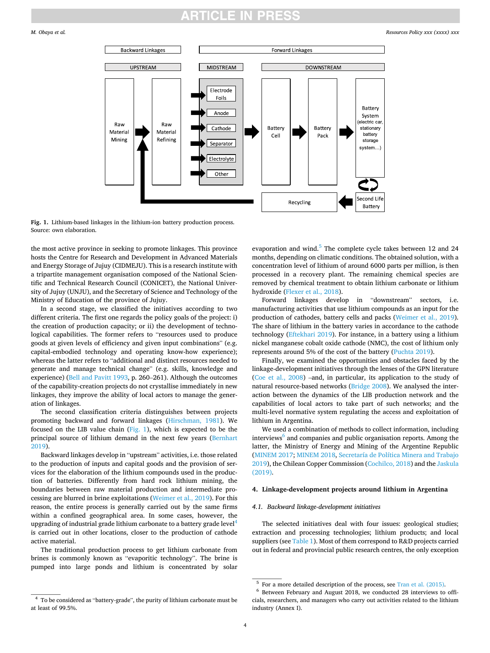# ICI E IN I

<span id="page-3-0"></span>

**Fig. 1.** Lithium-based linkages in the lithium-ion battery production process. Source: own elaboration.

the most active province in seeking to promote linkages. This province hosts the Centre for Research and Development in Advanced Materials and Energy Storage of Jujuy (CIDMEJU). This is a research institute with a tripartite management organisation composed of the National Scientific and Technical Research Council (CONICET), the National University of Jujuy (UNJU), and the Secretary of Science and Technology of the Ministry of Education of the province of Jujuy.

In a second stage, we classified the initiatives according to two different criteria. The first one regards the policy goals of the project: i) the creation of production capacity; or ii) the development of technological capabilities. The former refers to "resources used to produce goods at given levels of efficiency and given input combinations" (e.g. capital-embodied technology and operating know-how experience); whereas the latter refers to "additional and distinct resources needed to generate and manage technical change" (e.g. skills, knowledge and experience) ([Bell and Pavitt 1993](#page-12-0), p. 260–261). Although the outcomes of the capability-creation projects do not crystallise immediately in new linkages, they improve the ability of local actors to manage the generation of linkages.

The second classification criteria distinguishes between projects promoting backward and forward linkages ([Hirschman, 1981\)](#page-12-0). We focused on the LIB value chain (Fig. 1), which is expected to be the principal source of lithium demand in the next few years ([Bernhart](#page-12-0)  [2019\)](#page-12-0).

Backward linkages develop in "upstream" activities, i.e. those related to the production of inputs and capital goods and the provision of services for the elaboration of the lithium compounds used in the production of batteries. Differently from hard rock lithium mining, the boundaries between raw material production and intermediate processing are blurred in brine exploitations ([Weimer et al., 2019\)](#page-13-0). For this reason, the entire process is generally carried out by the same firms within a confined geographical area. In some cases, however, the upgrading of industrial grade lithium carbonate to a battery grade level<sup>4</sup> is carried out in other locations, closer to the production of cathode active material.

The traditional production process to get lithium carbonate from brines is commonly known as "evaporitic technology". The brine is pumped into large ponds and lithium is concentrated by solar

evaporation and wind. $5$  The complete cycle takes between 12 and 24 months, depending on climatic conditions. The obtained solution, with a concentration level of lithium of around 6000 parts per million, is then processed in a recovery plant. The remaining chemical species are removed by chemical treatment to obtain lithium carbonate or lithium hydroxide ([Flexer et al., 2018\)](#page-12-0).

Forward linkages develop in "downstream" sectors, i.e. manufacturing activities that use lithium compounds as an input for the production of cathodes, battery cells and packs [\(Weimer et al., 2019](#page-13-0)). The share of lithium in the battery varies in accordance to the cathode technology [\(Eftekhari 2019\)](#page-12-0). For instance, in a battery using a lithium nickel manganese cobalt oxide cathode (NMC), the cost of lithium only represents around 5% of the cost of the battery ([Puchta 2019](#page-13-0)).

Finally, we examined the opportunities and obstacles faced by the linkage-development initiatives through the lenses of the GPN literature ([Coe et al., 2008\)](#page-12-0) –and, in particular, its application to the study of natural resource-based networks ([Bridge 2008](#page-12-0)). We analysed the interaction between the dynamics of the LIB production network and the capabilities of local actors to take part of such networks; and the multi-level normative system regulating the access and exploitation of lithium in Argentina.

We used a combination of methods to collect information, including interviews $<sup>6</sup>$  and companies and public organisation reports. Among the</sup> latter, the Ministry of Energy and Mining of the Argentine Republic ([MINEM 2017; MINEM 2018,](#page-12-0) [Secretaría de Política Minera and Trabajo](#page-13-0)  [2019\)](#page-13-0), the Chilean Copper Commission [\(Cochilco, 2018](#page-12-0)) and the [Jaskula](#page-12-0)  [\(2019\).](#page-12-0)

## **4. Linkage-development projects around lithium in Argentina**

#### *4.1. Backward linkage-development initiatives*

The selected initiatives deal with four issues: geological studies; extraction and processing technologies; lithium products; and local suppliers (see [Table 1](#page-4-0)). Most of them correspond to R&D projects carried out in federal and provincial public research centres, the only exception

<sup>4</sup> To be considered as "battery-grade", the purity of lithium carbonate must be at least of 99.5%.

 $^5$  For a more detailed description of the process, see [Tran et al. \(2015\)](#page-13-0).  $^6$  Between February and August 2018, we conducted 28 interviews to officials, researchers, and managers who carry out activities related to the lithium industry (Annex I).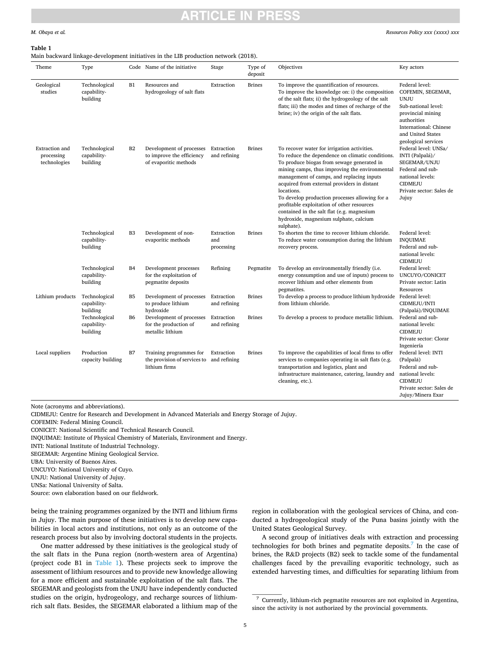## <span id="page-4-0"></span>*M. Obaya et al.*

#### **Table 1**

Main backward linkage-development initiatives in the LIB production network (2018).

| Theme                                               | Type                                     |                | Code Name of the initiative                                                    | Stage                           | Type of<br>deposit | Objectives                                                                                                                                                                                                                                                                                                                                                                                                                                                                                                      | Key actors                                                                                                                                                                          |
|-----------------------------------------------------|------------------------------------------|----------------|--------------------------------------------------------------------------------|---------------------------------|--------------------|-----------------------------------------------------------------------------------------------------------------------------------------------------------------------------------------------------------------------------------------------------------------------------------------------------------------------------------------------------------------------------------------------------------------------------------------------------------------------------------------------------------------|-------------------------------------------------------------------------------------------------------------------------------------------------------------------------------------|
| Geological<br>studies                               | Technological<br>capability-<br>building | B1             | Resources and<br>hydrogeology of salt flats                                    | Extraction                      | <b>Brines</b>      | To improve the quantification of resources.<br>To improve the knowledge on: i) the composition<br>of the salt flats; ii) the hydrogeology of the salt<br>flats; iii) the modes and times of recharge of the<br>brine; iv) the origin of the salt flats.                                                                                                                                                                                                                                                         | Federal level:<br>COFEMIN, SEGEMAR,<br><b>UNJU</b><br>Sub-national level:<br>provincial mining<br>authorities<br>International: Chinese<br>and United States<br>geological services |
| <b>Extraction</b> and<br>processing<br>technologies | Technological<br>capability-<br>building | B <sub>2</sub> | Development of processes<br>to improve the efficiency<br>of evaporitic methods | Extraction<br>and refining      | <b>Brines</b>      | To recover water for irrigation activities.<br>To reduce the dependence on climatic conditions.<br>To produce biogas from sewage generated in<br>mining camps, thus improving the environmental<br>management of camps, and replacing inputs<br>acquired from external providers in distant<br>locations.<br>To develop production processes allowing for a<br>profitable exploitation of other resources<br>contained in the salt flat (e.g. magnesium<br>hydroxide, magnesium sulphate, calcium<br>sulphate). | Federal level: UNSa/<br>INTI (Palpalá)/<br>SEGEMAR/UNJU<br>Federal and sub-<br>national levels:<br><b>CIDMEJU</b><br>Private sector: Sales de<br>Jujuy                              |
|                                                     | Technological<br>capability-<br>building | B <sub>3</sub> | Development of non-<br>evaporitic methods                                      | Extraction<br>and<br>processing | <b>Brines</b>      | To shorten the time to recover lithium chloride.<br>To reduce water consumption during the lithium<br>recovery process.                                                                                                                                                                                                                                                                                                                                                                                         | Federal level:<br><b>INQUIMAE</b><br>Federal and sub-<br>national levels:<br><b>CIDMEJU</b>                                                                                         |
|                                                     | Technological<br>capability-<br>building | <b>B4</b>      | Development processes<br>for the exploitation of<br>pegmatite deposits         | Refining                        | Pegmatite          | To develop an environmentally friendly (i.e.<br>energy consumption and use of inputs) process to<br>recover lithium and other elements from<br>pegmatites.                                                                                                                                                                                                                                                                                                                                                      | Federal level:<br>UNCUYO/CONICET<br>Private sector: Latin<br>Resources                                                                                                              |
| Lithium products                                    | Technological<br>capability-<br>building | B <sub>5</sub> | Development of processes<br>to produce lithium<br>hydroxide                    | Extraction<br>and refining      | <b>Brines</b>      | To develop a process to produce lithium hydroxide<br>from lithium chloride.                                                                                                                                                                                                                                                                                                                                                                                                                                     | Federal level:<br>CIDMEJU/INTI<br>(Palpalá)/INQUIMAE                                                                                                                                |
|                                                     | Technological<br>capability-<br>building | <b>B6</b>      | Development of processes<br>for the production of<br>metallic lithium          | Extraction<br>and refining      | <b>Brines</b>      | To develop a process to produce metallic lithium.                                                                                                                                                                                                                                                                                                                                                                                                                                                               | Federal and sub-<br>national levels:<br><b>CIDMEJU</b><br>Private sector: Clorar<br>Ingeniería                                                                                      |
| Local suppliers                                     | Production<br>capacity building          | B7             | Training programmes for<br>the provision of services to<br>lithium firms       | Extraction<br>and refining      | <b>Brines</b>      | To improve the capabilities of local firms to offer<br>services to companies operating in salt flats (e.g.<br>transportation and logistics, plant and<br>infrastructure maintenance, catering, laundry and<br>cleaning, etc.).                                                                                                                                                                                                                                                                                  | Federal level: INTI<br>(Palpalá)<br>Federal and sub-<br>national levels:<br><b>CIDMEJU</b><br>Private sector: Sales de<br>Jujuy/Minera Exar                                         |

Note (acronyms and abbreviations).

CIDMEJU: Centre for Research and Development in Advanced Materials and Energy Storage of Jujuy.

COFEMIN: Federal Mining Council.

CONICET: National Scientific and Technical Research Council.

INQUIMAE: Institute of Physical Chemistry of Materials, Environment and Energy.

INTI: National Institute of Industrial Technology.

SEGEMAR: Argentine Mining Geological Service.

UBA: University of Buenos Aires.

UNCUYO: National University of Cuyo.

UNJU: National University of Jujuy.

UNSa: National University of Salta. Source: own elaboration based on our fieldwork.

being the training programmes organized by the INTI and lithium firms in Jujuy. The main purpose of these initiatives is to develop new capabilities in local actors and institutions, not only as an outcome of the research process but also by involving doctoral students in the projects.

One matter addressed by these initiatives is the geological study of the salt flats in the Puna region (north-western area of Argentina) (project code B1 in Table 1). These projects seek to improve the assessment of lithium resources and to provide new knowledge allowing for a more efficient and sustainable exploitation of the salt flats. The SEGEMAR and geologists from the UNJU have independently conducted studies on the origin, hydrogeology, and recharge sources of lithiumrich salt flats. Besides, the SEGEMAR elaborated a lithium map of the region in collaboration with the geological services of China, and conducted a hydrogeological study of the Puna basins jointly with the United States Geological Survey.

A second group of initiatives deals with extraction and processing technologies for both brines and pegmatite deposits.<sup>7</sup> In the case of brines, the R&D projects (B2) seek to tackle some of the fundamental challenges faced by the prevailing evaporitic technology, such as extended harvesting times, and difficulties for separating lithium from

<sup>7</sup> Currently, lithium-rich pegmatite resources are not exploited in Argentina, since the activity is not authorized by the provincial governments.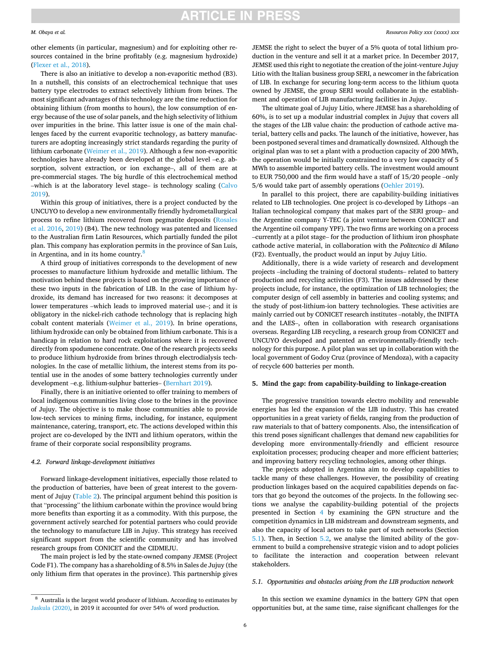#### *M. Obaya et al.*

other elements (in particular, magnesium) and for exploiting other resources contained in the brine profitably (e.g. magnesium hydroxide) ([Flexer et al., 2018\)](#page-12-0).

There is also an initiative to develop a non-evaporitic method (B3). In a nutshell, this consists of an electrochemical technique that uses battery type electrodes to extract selectively lithium from brines. The most significant advantages of this technology are the time reduction for obtaining lithium (from months to hours), the low consumption of energy because of the use of solar panels, and the high selectivity of lithium over impurities in the brine. This latter issue is one of the main challenges faced by the current evaporitic technology, as battery manufacturers are adopting increasingly strict standards regarding the purity of lithium carbonate [\(Weimer et al., 2019\)](#page-13-0). Although a few non-evaporitic technologies have already been developed at the global level –e.g. absorption, solvent extraction, or ion exchange–, all of them are at pre-commercial stages. The big hurdle of this electrochemical method –which is at the laboratory level stage– is technology scaling ([Calvo](#page-12-0)  [2019\)](#page-12-0).

Within this group of initiatives, there is a project conducted by the UNCUYO to develop a new environmentally friendly hydrometallurgical process to refine lithium recovered from pegmatite deposits [\(Rosales](#page-13-0)  [et al. 2016](#page-13-0), [2019\)](#page-13-0) (B4). The new technology was patented and licensed to the Australian firm Latin Resources, which partially funded the pilot plan. This company has exploration permits in the province of San Luis, in Argentina, and in its home country.<sup>8</sup>

A third group of initiatives corresponds to the development of new processes to manufacture lithium hydroxide and metallic lithium. The motivation behind these projects is based on the growing importance of these two inputs in the fabrication of LIB. In the case of lithium hydroxide, its demand has increased for two reasons: it decomposes at lower temperatures –which leads to improved material use–; and it is obligatory in the nickel-rich cathode technology that is replacing high cobalt content materials ([Weimer et al., 2019](#page-13-0)). In brine operations, lithium hydroxide can only be obtained from lithium carbonate. This is a handicap in relation to hard rock exploitations where it is recovered directly from spodumene concentrate. One of the research projects seeks to produce lithium hydroxide from brines through electrodialysis technologies. In the case of metallic lithium, the interest stems from its potential use in the anodes of some battery technologies currently under development –e.g. lithium-sulphur batteries– ([Bernhart 2019\)](#page-12-0).

Finally, there is an initiative oriented to offer training to members of local indigenous communities living close to the brines in the province of Jujuy. The objective is to make those communities able to provide low-tech services to mining firms, including, for instance, equipment maintenance, catering, transport, etc. The actions developed within this project are co-developed by the INTI and lithium operators, within the frame of their corporate social responsibility programs.

### *4.2. Forward linkage-development initiatives*

Forward linkage-development initiatives, especially those related to the production of batteries, have been of great interest to the government of Jujuy ([Table 2\)](#page-6-0). The principal argument behind this position is that "processing" the lithium carbonate within the province would bring more benefits than exporting it as a commodity. With this purpose, the government actively searched for potential partners who could provide the technology to manufacture LIB in Jujuy. This strategy has received significant support from the scientific community and has involved research groups from CONICET and the CIDMEJU.

The main project is led by the state-owned company JEMSE (Project Code F1). The company has a shareholding of 8.5% in Sales de Jujuy (the only lithium firm that operates in the province). This partnership gives

 $^8\,$  Australia is the largest world producer of lithium. According to estimates by [Jaskula \(2020\)](#page-12-0), in 2019 it accounted for over 54% of word production.

JEMSE the right to select the buyer of a 5% quota of total lithium production in the venture and sell it at a market price. In December 2017, JEMSE used this right to negotiate the creation of the joint-venture Jujuy Litio with the Italian business group SERI, a newcomer in the fabrication of LIB. In exchange for securing long-term access to the lithium quota owned by JEMSE, the group SERI would collaborate in the establishment and operation of LIB manufacturing facilities in Jujuy.

The ultimate goal of Jujuy Litio, where JEMSE has a shareholding of 60%, is to set up a modular industrial complex in Jujuy that covers all the stages of the LIB value chain: the production of cathode active material, battery cells and packs. The launch of the initiative, however, has been postponed several times and dramatically downsized. Although the original plan was to set a plant with a production capacity of 200 MWh, the operation would be initially constrained to a very low capacity of 5 MWh to assemble imported battery cells. The investment would amount to EUR 750,000 and the firm would have a staff of 15/20 people –only 5/6 would take part of assembly operations ([Oehler 2019\)](#page-13-0).

In parallel to this project, there are capability-building initiatives related to LIB technologies. One project is co-developed by Lithops –an Italian technological company that makes part of the SERI group– and the Argentine company Y-TEC (a joint venture between CONICET and the Argentine oil company YPF). The two firms are working on a process –currently at a pilot stage– for the production of lithium iron phosphate cathode active material, in collaboration with the *Politecnico di Milano*  (F2). Eventually, the product would an input by Jujuy Litio.

Additionally, there is a wide variety of research and development projects –including the training of doctoral students– related to battery production and recycling activities (F3). The issues addressed by these projects include, for instance, the optimization of LIB technologies; the computer design of cell assembly in batteries and cooling systems; and the study of post-lithium-ion battery technologies. These activities are mainly carried out by CONICET research institutes –notably, the INIFTA and the LAES–, often in collaboration with research organisations overseas. Regarding LIB recycling, a research group from CONICET and UNCUYO developed and patented an environmentally-friendly technology for this purpose. A pilot plan was set up in collaboration with the local government of Godoy Cruz (province of Mendoza), with a capacity of recycle 600 batteries per month.

### **5. Mind the gap: from capability-building to linkage-creation**

The progressive transition towards electro mobility and renewable energies has led the expansion of the LIB industry. This has created opportunities in a great variety of fields, ranging from the production of raw materials to that of battery components. Also, the intensification of this trend poses significant challenges that demand new capabilities for developing more environmentally-friendly and efficient resource exploitation processes; producing cheaper and more efficient batteries; and improving battery recycling technologies, among other things.

The projects adopted in Argentina aim to develop capabilities to tackle many of these challenges. However, the possibility of creating production linkages based on the acquired capabilities depends on factors that go beyond the outcomes of the projects. In the following sections we analyse the capability-building potential of the projects presented in Section [4](#page-3-0) by examining the GPN structure and the competition dynamics in LIB midstream and downstream segments, and also the capacity of local actors to take part of such networks (Section 5.1). Then, in Section [5.2](#page-8-0), we analyse the limited ability of the government to build a comprehensive strategic vision and to adopt policies to facilitate the interaction and cooperation between relevant stakeholders.

### *5.1. Opportunities and obstacles arising from the LIB production network*

In this section we examine dynamics in the battery GPN that open opportunities but, at the same time, raise significant challenges for the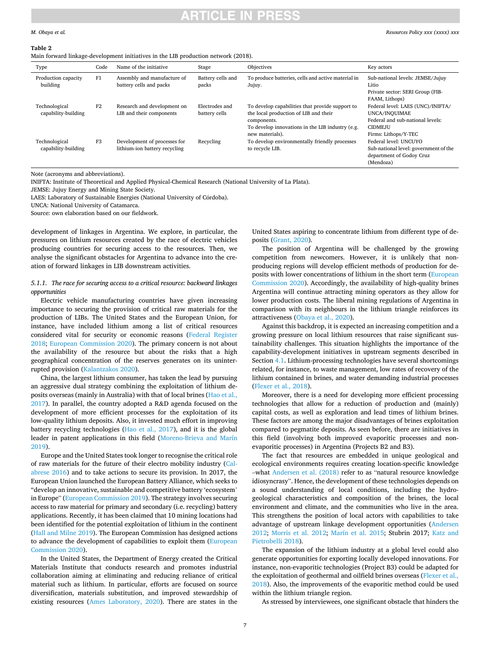### <span id="page-6-0"></span>*M. Obaya et al.*

#### **Table 2**

Main forward linkage-development initiatives in the LIB production network (2018).

| Type                                 | Code           | Name of the initiative                                        | Stage                           | Objectives                                                                                                                                                                     | Key actors                                                                                                                       |
|--------------------------------------|----------------|---------------------------------------------------------------|---------------------------------|--------------------------------------------------------------------------------------------------------------------------------------------------------------------------------|----------------------------------------------------------------------------------------------------------------------------------|
| Production capacity<br>building      | F1             | Assembly and manufacture of<br>battery cells and packs        | Battery cells and<br>packs      | To produce batteries, cells and active material in<br>Jujuy.                                                                                                                   | Sub-national levels: JEMSE/Jujuy<br>Litio<br>Private sector: SERI Group (FIB-<br>FAAM, Lithops)                                  |
| Technological<br>capability-building | F <sub>2</sub> | Research and development on<br>LIB and their components       | Electrodes and<br>battery cells | To develop capabilities that provide support to<br>the local production of LIB and their<br>components.<br>To develop innovations in the LIB industry (e.g.<br>new materials). | Federal level: LAES (UNC)/INIFTA/<br>UNCA/INQUIMAE<br>Federal and sub-national levels:<br><b>CIDMEJU</b><br>Firms: Lithops/Y-TEC |
| Technological<br>capability-building | F <sub>3</sub> | Development of processes for<br>lithium-ion battery recycling | Recycling                       | To develop environmentally friendly processes<br>to recycle LIB.                                                                                                               | Federal level: UNCUYO<br>Sub-national level: government of the<br>department of Godoy Cruz<br>(Mendoza)                          |

Note (acronyms and abbreviations).

INIFTA: Institute of Theoretical and Applied Physical-Chemical Research (National University of La Plata).

JEMSE: Jujuy Energy and Mining State Society.

LAES: Laboratory of Sustainable Energies (National University of Córdoba).

UNCA: National University of Catamarca.

Source: own elaboration based on our fieldwork.

development of linkages in Argentina. We explore, in particular, the pressures on lithium resources created by the race of electric vehicles producing countries for securing access to the resources. Then, we analyse the significant obstacles for Argentina to advance into the creation of forward linkages in LIB downstream activities.

# *5.1.1. The race for securing access to a critical resource: backward linkages opportunities*

Electric vehicle manufacturing countries have given increasing importance to securing the provision of critical raw materials for the production of LIBs. The United States and the European Union, for instance, have included lithium among a list of critical resources considered vital for security or economic reasons ([Federal Register](#page-12-0)  [2018;](#page-12-0) [European Commission 2020](#page-12-0)). The primary concern is not about the availability of the resource but about the risks that a high geographical concentration of the reserves generates on its uninterrupted provision ([Kalantzakos 2020](#page-12-0)).

China, the largest lithium consumer, has taken the lead by pursuing an aggressive dual strategy combining the exploitation of lithium deposits overseas (mainly in Australia) with that of local brines [\(Hao et al.,](#page-12-0)  [2017\)](#page-12-0). In parallel, the country adopted a R&D agenda focused on the development of more efficient processes for the exploitation of its low-quality lithium deposits. Also, it invested much effort in improving battery recycling technologies ([Hao et al., 2017\)](#page-12-0), and it is the global leader in patent applications in this field [\(Moreno-Brieva and Marín](#page-12-0)  [2019\)](#page-12-0).

Europe and the United States took longer to recognise the critical role of raw materials for the future of their electro mobility industry ([Cal](#page-12-0)[abrese 2016](#page-12-0)) and to take actions to secure its provision. In 2017, the European Union launched the European Battery Alliance, which seeks to "develop an innovative, sustainable and competitive battery 'ecosystem' in Europe" [\(European Commission 2019\)](#page-12-0). The strategy involves securing access to raw material for primary and secondary (i.e. recycling) battery applications. Recently, it has been claimed that 10 mining locations had been identified for the potential exploitation of lithium in the continent ([Hall and Milne 2019\)](#page-12-0). The European Commission has designed actions to advance the development of capabilities to exploit them [\(European](#page-12-0)  [Commission 2020\)](#page-12-0).

In the United States, the Department of Energy created the Critical Materials Institute that conducts research and promotes industrial collaboration aiming at eliminating and reducing reliance of critical material such as lithium. In particular, efforts are focused on source diversification, materials substitution, and improved stewardship of existing resources ([Ames Laboratory, 2020\)](#page-13-0). There are states in the

United States aspiring to concentrate lithium from different type of deposits [\(Grant, 2020\)](#page-12-0).

The position of Argentina will be challenged by the growing competition from newcomers. However, it is unlikely that nonproducing regions will develop efficient methods of production for deposits with lower concentrations of lithium in the short term [\(European](#page-12-0)  [Commission 2020](#page-12-0)). Accordingly, the availability of high-quality brines Argentina will continue attracting mining operators as they allow for lower production costs. The liberal mining regulations of Argentina in comparison with its neighbours in the lithium triangle reinforces its attractiveness [\(Obaya et al., 2020\)](#page-13-0).

Against this backdrop, it is expected an increasing competition and a growing pressure on local lithium resources that raise significant sustainability challenges. This situation highlights the importance of the capability-development initiatives in upstream segments described in Section [4.1.](#page-3-0) Lithium-processing technologies have several shortcomings related, for instance, to waste management, low rates of recovery of the lithium contained in brines, and water demanding industrial processes ([Flexer et al., 2018\)](#page-12-0).

Moreover, there is a need for developing more efficient processing technologies that allow for a reduction of production and (mainly) capital costs, as well as exploration and lead times of lithium brines. These factors are among the major disadvantages of brines exploitation compared to pegmatite deposits. As seen before, there are initiatives in this field (involving both improved evaporitic processes and nonevaporitic processes) in Argentina (Projects B2 and B3).

The fact that resources are embedded in unique geological and ecological environments requires creating location-specific knowledge –what [Andersen et al. \(2018\)](#page-11-0) refer to as "natural resource knowledge idiosyncrasy". Hence, the development of these technologies depends on a sound understanding of local conditions, including the hydrogeological characteristics and composition of the brines, the local environment and climate, and the communities who live in the area. This strengthens the position of local actors with capabilities to take advantage of upstream linkage development opportunities ([Andersen](#page-11-0)  [2012;](#page-11-0) [Morris et al. 2012;](#page-12-0) [Marín et al. 2015](#page-12-0); Stubrin 2017; [Katz and](#page-12-0)  [Pietrobelli 2018\)](#page-12-0).

The expansion of the lithium industry at a global level could also generate opportunities for exporting locally developed innovations. For instance, non-evaporitic technologies (Project B3) could be adapted for the exploitation of geothermal and oilfield brines overseas ([Flexer et al.,](#page-12-0)  [2018\)](#page-12-0). Also, the improvements of the evaporitic method could be used within the lithium triangle region.

As stressed by interviewees, one significant obstacle that hinders the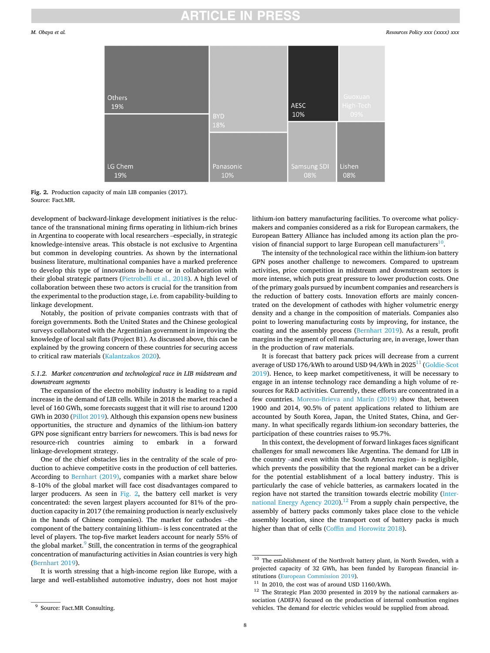

**Fig. 2.** Production capacity of main LIB companies (2017). Source: Fact.MR.

development of backward-linkage development initiatives is the reluctance of the transnational mining firms operating in lithium-rich brines in Argentina to cooperate with local researchers –especially, in strategic knowledge-intensive areas. This obstacle is not exclusive to Argentina but common in developing countries. As shown by the international business literature, multinational companies have a marked preference to develop this type of innovations in-house or in collaboration with their global strategic partners [\(Pietrobelli et al., 2018](#page-13-0)). A high level of collaboration between these two actors is crucial for the transition from the experimental to the production stage, i.e. from capability-building to linkage development.

Notably, the position of private companies contrasts with that of foreign governments. Both the United States and the Chinese geological surveys collaborated with the Argentinian government in improving the knowledge of local salt flats (Project B1). As discussed above, this can be explained by the growing concern of these countries for securing access to critical raw materials ([Kalantzakos 2020](#page-12-0)).

# *5.1.2. Market concentration and technological race in LIB midstream and downstream segments*

The expansion of the electro mobility industry is leading to a rapid increase in the demand of LIB cells. While in 2018 the market reached a level of 160 GWh, some forecasts suggest that it will rise to around 1200 GWh in 2030 [\(Pillot 2019](#page-13-0)). Although this expansion opens new business opportunities, the structure and dynamics of the lithium-ion battery GPN pose significant entry barriers for newcomers. This is bad news for resource-rich countries aiming to embark in a forward linkage-development strategy.

One of the chief obstacles lies in the centrality of the scale of production to achieve competitive costs in the production of cell batteries. According to [Bernhart \(2019\),](#page-12-0) companies with a market share below 8–10% of the global market will face cost disadvantages compared to larger producers. As seen in Fig. 2, the battery cell market is very concentrated: the seven largest players accounted for 81% of the production capacity in 2017 (the remaining production is nearly exclusively in the hands of Chinese companies). The market for cathodes –the component of the battery containing lithium– is less concentrated at the level of players. The top-five market leaders account for nearly 55% of the global market.<sup>9</sup> Still, the concentration in terms of the geographical concentration of manufacturing activities in Asian countries is very high ([Bernhart 2019\)](#page-12-0).

It is worth stressing that a high-income region like Europe, with a large and well-established automotive industry, does not host major

lithium-ion battery manufacturing facilities. To overcome what policymakers and companies considered as a risk for European carmakers, the European Battery Alliance has included among its action plan the provision of financial support to large European cell manufacturers $10$ .

The intensity of the technological race within the lithium-ion battery GPN poses another challenge to newcomers. Compared to upstream activities, price competition in midstream and downstream sectors is more intense, which puts great pressure to lower production costs. One of the primary goals pursued by incumbent companies and researchers is the reduction of battery costs. Innovation efforts are mainly concentrated on the development of cathodes with higher volumetric energy density and a change in the composition of materials. Companies also point to lowering manufacturing costs by improving, for instance, the coating and the assembly process ([Bernhart 2019\)](#page-12-0). As a result, profit margins in the segment of cell manufacturing are, in average, lower than in the production of raw materials.

It is forecast that battery pack prices will decrease from a current average of USD 176/kWh to around USD 94/kWh in  $2025^{11}$  (Goldie-Scot [2019\)](#page-12-0). Hence, to keep market competitiveness, it will be necessary to engage in an intense technology race demanding a high volume of resources for R&D activities. Currently, these efforts are concentrated in a few countries. [Moreno-Brieva and Marín \(2019\)](#page-12-0) show that, between 1900 and 2014, 90.5% of patent applications related to lithium are accounted by South Korea, Japan, the United States, China, and Germany. In what specifically regards lithium-ion secondary batteries, the participation of these countries raises to 95.7%.

In this context, the development of forward linkages faces significant challenges for small newcomers like Argentina. The demand for LIB in the country –and even within the South America region– is negligible, which prevents the possibility that the regional market can be a driver for the potential establishment of a local battery industry. This is particularly the case of vehicle batteries, as carmakers located in the region have not started the transition towards electric mobility [\(Inter](#page-12-0)[national Energy Agency 2020\)](#page-12-0).<sup>12</sup> From a supply chain perspective, the assembly of battery packs commonly takes place close to the vehicle assembly location, since the transport cost of battery packs is much higher than that of cells ([Coffin and Horowitz 2018](#page-12-0)).

 $^{\rm 10}$  The establishment of the Northvolt battery plant, in North Sweden, with a projected capacity of 32 GWh, has been funded by European financial in-stitutions [\(European Commission 2019\)](#page-12-0).<br><sup>11</sup> In 2010, the cost was of around USD 1160/kWh.<br><sup>12</sup> The Strategic Plan 2030 presented in 2019 by the national carmakers as-

sociation (ADEFA) focused on the production of internal combustion engines vehicles. The demand for electric vehicles would be supplied from abroad.

<sup>&</sup>lt;sup>9</sup> Source: Fact.MR Consulting.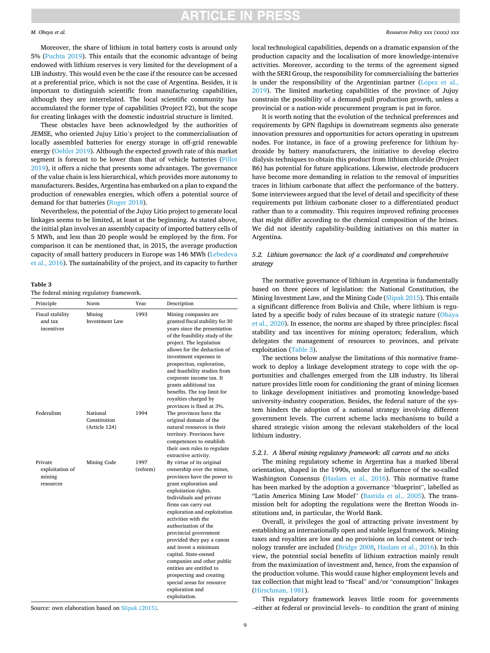#### <span id="page-8-0"></span>*M. Obaya et al.*

Moreover, the share of lithium in total battery costs is around only 5% ([Puchta 2019](#page-13-0)). This entails that the economic advantage of being endowed with lithium reserves is very limited for the development of a LIB industry. This would even be the case if the resource can be accessed at a preferential price, which is not the case of Argentina. Besides, it is important to distinguish scientific from manufacturing capabilities, although they are interrelated. The local scientific community has accumulated the former type of capabilities (Project F2), but the scope for creating linkages with the domestic industrial structure is limited.

These obstacles have been acknowledged by the authorities of JEMSE, who oriented Jujuy Litio's project to the commercialisation of locally assembled batteries for energy storage in off-grid renewable energy [\(Oehler 2019\)](#page-13-0). Although the expected growth rate of this market segment is forecast to be lower than that of vehicle batteries ([Pillot](#page-13-0)  [2019\)](#page-13-0), it offers a niche that presents some advantages. The governance of the value chain is less hierarchical, which provides more autonomy to manufacturers. Besides, Argentina has embarked on a plan to expand the production of renewables energies, which offers a potential source of demand for that batteries ([Roger 2018\)](#page-13-0).

Nevertheless, the potential of the Jujuy Litio project to generate local linkages seems to be limited, at least at the beginning. As stated above, the initial plan involves an assembly capacity of imported battery cells of 5 MWh, and less than 20 people would be employed by the firm. For comparison it can be mentioned that, in 2015, the average production capacity of small battery producers in Europe was 146 MWh ([Lebedeva](#page-12-0)  [et al., 2016\)](#page-12-0). The sustainability of the project, and its capacity to further

**Table 3** 

The federal mining regulatory framework.

| Principle                                         | Norm                                      | Year             | Description                                                                                                                                                                                                                                                                                                                                                                                                                                                                                                                           |
|---------------------------------------------------|-------------------------------------------|------------------|---------------------------------------------------------------------------------------------------------------------------------------------------------------------------------------------------------------------------------------------------------------------------------------------------------------------------------------------------------------------------------------------------------------------------------------------------------------------------------------------------------------------------------------|
| Fiscal stability<br>and tax<br>incentives         | Mining<br><b>Investment Law</b>           | 1993             | Mining companies are<br>granted fiscal stability for 30<br>years since the presentation<br>of the feasibility study of the<br>project. The legislation<br>allows for the deduction of<br>investment expenses in<br>prospection, exploration,<br>and feasibility studies from<br>corporate income tax. It<br>grants additional tax<br>benefits. The top limit for<br>royalties charged by<br>provinces is fixed at 3%.                                                                                                                 |
| Federalism                                        | National<br>Constitution<br>(Article 124) | 1994             | The provinces have the<br>original domain of the<br>natural resources in their<br>territory. Provinces have<br>competences to establish<br>their own rules to regulate<br>extractive activity.                                                                                                                                                                                                                                                                                                                                        |
| Private<br>exploitation of<br>mining<br>resources | Mining Code                               | 1997<br>(reform) | By virtue of its original<br>ownership over the mines,<br>provinces have the power to<br>grant exploration and<br>exploitation rights.<br>Individuals and private<br>firms can carry out<br>exploration and exploitation<br>activities with the<br>authorization of the<br>provincial government<br>provided they pay a canon<br>and invest a minimum<br>capital. State-owned<br>companies and other public<br>entities are entitled to<br>prospecting and creating<br>special areas for resource<br>exploration and<br>exploitation. |

local technological capabilities, depends on a dramatic expansion of the production capacity and the localisation of more knowledge-intensive activities. Moreover, according to the terms of the agreement signed with the SERI Group, the responsibility for commercialising the batteries is under the responsibility of the Argentinian partner  $(L'$ opez et al., [2019\)](#page-12-0). The limited marketing capabilities of the province of Jujuy constrain the possibility of a demand-pull production growth, unless a provincial or a nation-wide procurement program is put in force.

It is worth noting that the evolution of the technical preferences and requirements by GPN flagships in downstream segments also generate innovation pressures and opportunities for actors operating in upstream nodes. For instance, in face of a growing preference for lithium hydroxide by battery manufacturers, the initiative to develop electro dialysis techniques to obtain this product from lithium chloride (Project B6) has potential for future applications. Likewise, electrode producers have become more demanding in relation to the removal of impurities traces in lithium carbonate that affect the performance of the battery. Some interviewees argued that the level of detail and specificity of these requirements put lithium carbonate closer to a differentiated product rather than to a commodity. This requires improved refining processes that might differ according to the chemical composition of the brines. We did not identify capability-building initiatives on this matter in Argentina.

# *5.2. Lithium governance: the lack of a coordinated and comprehensive strategy*

The normative governance of lithium in Argentina is fundamentally based on three pieces of legislation: the National Constitution, the Mining Investment Law, and the Mining Code ([Slipak 2015\)](#page-13-0). This entails a significant difference from Bolivia and Chile, where lithium is regulated by a specific body of rules because of its strategic nature [\(Obaya](#page-13-0)  [et al., 2020](#page-13-0)). In essence, the norms are shaped by three principles: fiscal stability and tax incentives for mining operators; federalism, which delegates the management of resources to provinces, and private exploitation (Table 3).

The sections below analyse the limitations of this normative framework to deploy a linkage development strategy to cope with the opportunities and challenges emerged from the LIB industry. Its liberal nature provides little room for conditioning the grant of mining licenses to linkage development initiatives and promoting knowledge-based university-industry cooperation. Besides, the federal nature of the system hinders the adoption of a national strategy involving different government levels. The current scheme lacks mechanisms to build a shared strategic vision among the relevant stakeholders of the local lithium industry.

## *5.2.1. A liberal mining regulatory framework: all carrots and no sticks*

The mining regulatory scheme in Argentina has a marked liberal orientation, shaped in the 1990s, under the influence of the so-called Washington Consensus ([Haslam et al., 2016](#page-12-0)). This normative frame has been marked by the adoption a governance "blueprint", labelled as "Latin America Mining Law Model" ([Bastida et al., 2005\)](#page-12-0). The transmission belt for adopting the regulations were the Bretton Woods institutions and, in particular, the World Bank.

Overall, it privileges the goal of attracting private investment by establishing an internationally open and stable legal framework. Mining taxes and royalties are low and no provisions on local content or technology transfer are included [\(Bridge 2008, Haslam et al., 2016\)](#page-12-0). In this view, the potential social benefits of lithium extraction mainly result from the maximization of investment and, hence, from the expansion of the production volume. This would cause higher employment levels and tax collection that might lead to "fiscal" and/or "consumption" linkages ([Hirschman, 1981](#page-12-0)).

Source: own elaboration based on [Slipak \(2015\).](#page-13-0)

This regulatory framework leaves little room for governments –either at federal or provincial levels– to condition the grant of mining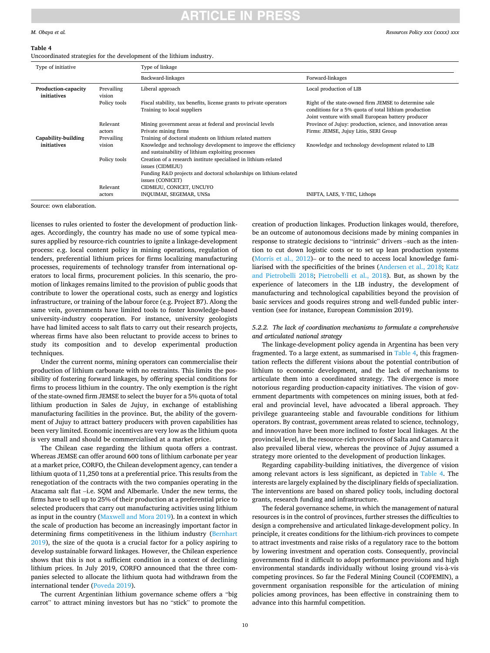#### **Table 4**

Uncoordinated strategies for the development of the lithium industry.

| Type of initiative                 |                      | Type of linkage                                                                                                      |                                                                                                                                                                      |  |  |
|------------------------------------|----------------------|----------------------------------------------------------------------------------------------------------------------|----------------------------------------------------------------------------------------------------------------------------------------------------------------------|--|--|
|                                    |                      | Backward-linkages                                                                                                    | Forward-linkages                                                                                                                                                     |  |  |
| Production-capacity<br>initiatives | Prevailing<br>vision | Liberal approach                                                                                                     | Local production of LIB                                                                                                                                              |  |  |
|                                    | Policy tools         | Fiscal stability, tax benefits, license grants to private operators<br>Training to local suppliers                   | Right of the state-owned firm JEMSE to determine sale<br>conditions for a 5% quota of total lithium production<br>Joint venture with small European battery producer |  |  |
|                                    | Relevant<br>actors   | Mining government areas at federal and provincial levels<br>Private mining firms                                     | Province of Jujuy: production, science, and innovation areas<br>Firms: JEMSE, Jujuy Litio, SERI Group                                                                |  |  |
| Capability-building                | Prevailing           | Training of doctoral students on lithium related matters                                                             |                                                                                                                                                                      |  |  |
| initiatives                        | vision               | Knowledge and technology development to improve the efficiency<br>and sustainability of lithium exploiting processes | Knowledge and technology development related to LIB                                                                                                                  |  |  |
|                                    | Policy tools         | Creation of a research institute specialised in lithium-related<br>issues (CIDMEJU)                                  |                                                                                                                                                                      |  |  |
|                                    |                      | Funding R&D projects and doctoral scholarships on lithium-related<br>issues (CONICET)                                |                                                                                                                                                                      |  |  |
|                                    | Relevant             | CIDMEJU, CONICET, UNCUYO                                                                                             |                                                                                                                                                                      |  |  |
|                                    | actors               | INQUIMAE, SEGEMAR, UNSa                                                                                              | INIFTA, LAES, Y-TEC, Lithops                                                                                                                                         |  |  |

Source: own elaboration.

licenses to rules oriented to foster the development of production linkages. Accordingly, the country has made no use of some typical measures applied by resource-rich countries to ignite a linkage-development process: e.g. local content policy in mining operations, regulation of tenders, preferential lithium prices for firms localizing manufacturing processes, requirements of technology transfer from international operators to local firms, procurement policies. In this scenario, the promotion of linkages remains limited to the provision of public goods that contribute to lower the operational costs, such as energy and logistics infrastructure, or training of the labour force (e.g. Project B7). Along the same vein, governments have limited tools to foster knowledge-based university-industry cooperation. For instance, university geologists have had limited access to salt flats to carry out their research projects, whereas firms have also been reluctant to provide access to brines to study its composition and to develop experimental production techniques.

Under the current norms, mining operators can commercialise their production of lithium carbonate with no restraints. This limits the possibility of fostering forward linkages, by offering special conditions for firms to process lithium in the country. The only exemption is the right of the state-owned firm JEMSE to select the buyer for a 5% quota of total lithium production in Sales de Jujuy, in exchange of establishing manufacturing facilities in the province. But, the ability of the government of Jujuy to attract battery producers with proven capabilities has been very limited. Economic incentives are very low as the lithium quota is very small and should be commercialised at a market price.

The Chilean case regarding the lithium quota offers a contrast. Whereas JEMSE can offer around 600 tons of lithium carbonate per year at a market price, CORFO, the Chilean development agency, can tender a lithium quota of 11,250 tons at a preferential price. This results from the renegotiation of the contracts with the two companies operating in the Atacama salt flat –i.e. SQM and Albemarle. Under the new terms, the firms have to sell up to 25% of their production at a preferential price to selected producers that carry out manufacturing activities using lithium as input in the country ([Maxwell and Mora 2019\)](#page-12-0). In a context in which the scale of production has become an increasingly important factor in determining firms competitiveness in the lithium industry ([Bernhart](#page-12-0)  [2019\)](#page-12-0), the size of the quota is a crucial factor for a policy aspiring to develop sustainable forward linkages. However, the Chilean experience shows that this is not a sufficient condition in a context of declining lithium prices. In July 2019, CORFO announced that the three companies selected to allocate the lithium quota had withdrawn from the international tender ([Poveda 2019\)](#page-13-0).

The current Argentinian lithium governance scheme offers a "big carrot" to attract mining investors but has no "stick" to promote the creation of production linkages. Production linkages would, therefore, be an outcome of autonomous decisions made by mining companies in response to strategic decisions to "intrinsic" drivers –such as the intention to cut down logistic costs or to set up lean production systems ([Morris et al., 2012\)](#page-12-0)– or to the need to access local knowledge familiarised with the specificities of the brines [\(Andersen et al., 2018](#page-11-0); [Katz](#page-12-0)  [and Pietrobelli 2018](#page-12-0); [Pietrobelli et al., 2018](#page-13-0)). But, as shown by the experience of latecomers in the LIB industry, the development of manufacturing and technological capabilities beyond the provision of basic services and goods requires strong and well-funded public intervention (see for instance, European Commission 2019).

# *5.2.2. The lack of coordination mechanisms to formulate a comprehensive and articulated national strategy*

The linkage-development policy agenda in Argentina has been very fragmented. To a large extent, as summarised in Table 4, this fragmentation reflects the different visions about the potential contribution of lithium to economic development, and the lack of mechanisms to articulate them into a coordinated strategy. The divergence is more notorious regarding production-capacity initiatives. The vision of government departments with competences on mining issues, both at federal and provincial level, have advocated a liberal approach. They privilege guaranteeing stable and favourable conditions for lithium operators. By contrast, government areas related to science, technology, and innovation have been more inclined to foster local linkages. At the provincial level, in the resource-rich provinces of Salta and Catamarca it also prevailed liberal view, whereas the province of Jujuy assumed a strategy more oriented to the development of production linkages.

Regarding capability-building initiatives, the divergence of vision among relevant actors is less significant, as depicted in Table 4. The interests are largely explained by the disciplinary fields of specialization. The interventions are based on shared policy tools, including doctoral grants, research funding and infrastructure.

The federal governance scheme, in which the management of natural resources is in the control of provinces, further stresses the difficulties to design a comprehensive and articulated linkage-development policy. In principle, it creates conditions for the lithium-rich provinces to compete to attract investments and raise risks of a regulatory race to the bottom by lowering investment and operation costs. Consequently, provincial governments find it difficult to adopt performance provisions and high environmental standards individually without losing ground vis-a-vis ` competing provinces. So far the Federal Mining Council (COFEMIN), a government organisation responsible for the articulation of mining policies among provinces, has been effective in constraining them to advance into this harmful competition.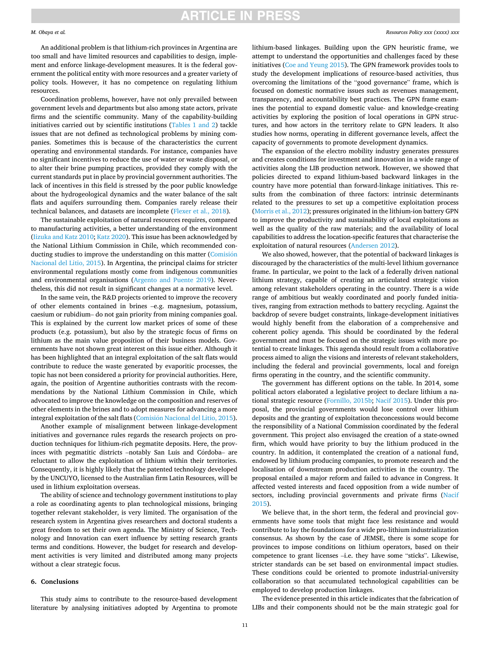### *M. Obaya et al.*

An additional problem is that lithium-rich provinces in Argentina are too small and have limited resources and capabilities to design, implement and enforce linkage-development measures. It is the federal government the political entity with more resources and a greater variety of policy tools. However, it has no competence on regulating lithium resources.

Coordination problems, however, have not only prevailed between government levels and departments but also among state actors, private firms and the scientific community. Many of the capability-building initiatives carried out by scientific institutions ([Tables 1 and 2\)](#page-4-0) tackle issues that are not defined as technological problems by mining companies. Sometimes this is because of the characteristics the current operating and environmental standards. For instance, companies have no significant incentives to reduce the use of water or waste disposal, or to alter their brine pumping practices, provided they comply with the current standards put in place by provincial government authorities. The lack of incentives in this field is stressed by the poor public knowledge about the hydrogeological dynamics and the water balance of the salt flats and aquifers surrounding them. Companies rarely release their technical balances, and datasets are incomplete ([Flexer et al., 2018](#page-12-0)).

The sustainable exploitation of natural resources requires, compared to manufacturing activities, a better understanding of the environment ([Iizuka and Katz 2010; Katz 2020](#page-12-0)). This issue has been acknowledged by the National Lithium Commission in Chile, which recommended conducting studies to improve the understanding on this matter (Comisión [Nacional del Litio, 2015\)](#page-12-0). In Argentina, the principal claims for stricter environmental regulations mostly come from indigenous communities and environmental organisations ([Argento and Puente 2019](#page-11-0)). Nevertheless, this did not result in significant changes at a normative level.

In the same vein, the R&D projects oriented to improve the recovery of other elements contained in brines –e.g. magnesium, potassium, caesium or rubidium– do not gain priority from mining companies goal. This is explained by the current low market prices of some of these products (e.g. potassium), but also by the strategic focus of firms on lithium as the main value proposition of their business models. Governments have not shown great interest on this issue either. Although it has been highlighted that an integral exploitation of the salt flats would contribute to reduce the waste generated by evaporitic processes, the topic has not been considered a priority for provincial authorities. Here, again, the position of Argentine authorities contrasts with the recommendations by the National Lithium Commission in Chile, which advocated to improve the knowledge on the composition and reserves of other elements in the brines and to adopt measures for advancing a more integral exploitation of the salt flats (Comisión [Nacional del Litio, 2015](#page-12-0)).

Another example of misalignment between linkage-development initiatives and governance rules regards the research projects on production techniques for lithium-rich pegmatite deposits. Here, the provinces with pegmatitic districts -notably San Luis and Córdoba- are reluctant to allow the exploitation of lithium within their territories. Consequently, it is highly likely that the patented technology developed by the UNCUYO, licensed to the Australian firm Latin Resources, will be used in lithium exploitation overseas.

The ability of science and technology government institutions to play a role as coordinating agents to plan technological missions, bringing together relevant stakeholder, is very limited. The organisation of the research system in Argentina gives researchers and doctoral students a great freedom to set their own agenda. The Ministry of Science, Technology and Innovation can exert influence by setting research grants terms and conditions. However, the budget for research and development activities is very limited and distributed among many projects without a clear strategic focus.

### **6. Conclusions**

This study aims to contribute to the resource-based development literature by analysing initiatives adopted by Argentina to promote

lithium-based linkages. Building upon the GPN heuristic frame, we attempt to understand the opportunities and challenges faced by these initiatives ([Coe and Yeung 2015\)](#page-12-0). The GPN framework provides tools to study the development implications of resource-based activities, thus overcoming the limitations of the "good governance" frame, which is focused on domestic normative issues such as revenues management, transparency, and accountability best practices. The GPN frame examines the potential to expand domestic value- and knowledge-creating activities by exploring the position of local operations in GPN structures, and how actors in the territory relate to GPN leaders. It also studies how norms, operating in different governance levels, affect the capacity of governments to promote development dynamics.

The expansion of the electro mobility industry generates pressures and creates conditions for investment and innovation in a wide range of activities along the LIB production network. However, we showed that policies directed to expand lithium-based backward linkages in the country have more potential than forward-linkage initiatives. This results from the combination of three factors: intrinsic determinants related to the pressures to set up a competitive exploitation process ([Morris et al., 2012](#page-12-0)); pressures originated in the lithium-ion battery GPN to improve the productivity and sustainability of local exploitations as well as the quality of the raw materials; and the availability of local capabilities to address the location-specific features that characterise the exploitation of natural resources ([Andersen 2012](#page-11-0)).

We also showed, however, that the potential of backward linkages is discouraged by the characteristics of the multi-level lithium governance frame. In particular, we point to the lack of a federally driven national lithium strategy, capable of creating an articulated strategic vision among relevant stakeholders operating in the country. There is a wide range of ambitious but weakly coordinated and poorly funded initiatives, ranging from extraction methods to battery recycling. Against the backdrop of severe budget constraints, linkage-development initiatives would highly benefit from the elaboration of a comprehensive and coherent policy agenda. This should be coordinated by the federal government and must be focused on the strategic issues with more potential to create linkages. This agenda should result from a collaborative process aimed to align the visions and interests of relevant stakeholders, including the federal and provincial governments, local and foreign firms operating in the country, and the scientific community.

The government has different options on the table. In 2014, some political actors elaborated a legislative project to declare lithium a national strategic resource [\(Fornillo, 2015b](#page-12-0); [Nacif 2015\)](#page-13-0). Under this proposal, the provincial governments would lose control over lithium deposits and the granting of exploitation theconcessions would become the responsibility of a National Commission coordinated by the federal government. This project also envisaged the creation of a state-owned firm, which would have priority to buy the lithium produced in the country. In addition, it contemplated the creation of a national fund, endowed by lithium producing companies, to promote research and the localisation of downstream production activities in the country. The proposal entailed a major reform and failed to advance in Congress. It affected vested interests and faced opposition from a wide number of sectors, including provincial governments and private firms [\(Nacif](#page-13-0)  [2015\)](#page-13-0).

We believe that, in the short term, the federal and provincial governments have some tools that might face less resistance and would contribute to lay the foundations for a wide pro-lithium industrialization consensus. As shown by the case of JEMSE, there is some scope for provinces to impose conditions on lithium operators, based on their competence to grant licenses –i.e. they have some "sticks". Likewise, stricter standards can be set based on environmental impact studies. These conditions could be oriented to promote industrial-university collaboration so that accumulated technological capabilities can be employed to develop production linkages.

The evidence presented in this article indicates that the fabrication of LIBs and their components should not be the main strategic goal for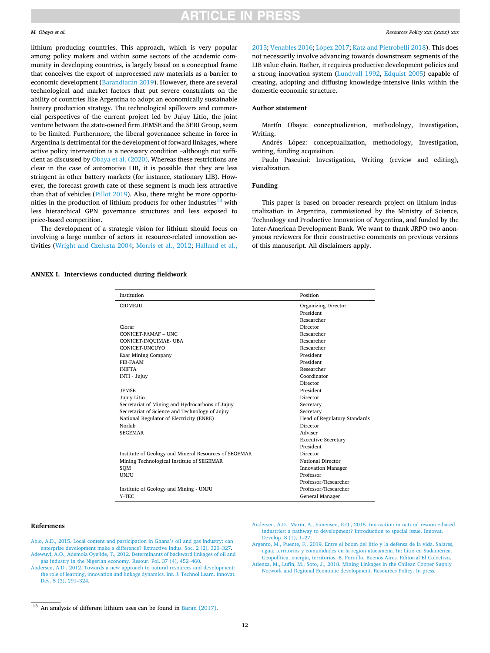### <span id="page-11-0"></span>*M. Obaya et al.*

lithium producing countries. This approach, which is very popular among policy makers and within some sectors of the academic community in developing countries, is largely based on a conceptual frame that conceives the export of unprocessed raw materials as a barrier to economic development (Barandiarán 2019). However, there are several technological and market factors that put severe constraints on the ability of countries like Argentina to adopt an economically sustainable battery production strategy. The technological spillovers and commercial perspectives of the current project led by Jujuy Litio, the joint venture between the state-owned firm JEMSE and the SERI Group, seem to be limited. Furthermore, the liberal governance scheme in force in Argentina is detrimental for the development of forward linkages, where active policy intervention is a necessary condition –although not sufficient as discussed by [Obaya et al. \(2020\).](#page-13-0) Whereas these restrictions are clear in the case of automotive LIB, it is possible that they are less stringent in other battery markets (for instance, stationary LIB). However, the forecast growth rate of these segment is much less attractive than that of vehicles ([Pillot 2019](#page-13-0)). Also, there might be more opportunities in the production of lithium products for other industries<sup>13</sup> with less hierarchical GPN governance structures and less exposed to price-based competition.

The development of a strategic vision for lithium should focus on involving a large number of actors in resource-related innovation activities [\(Wright and Czelusta 2004;](#page-13-0) [Morris et al., 2012;](#page-12-0) [Halland et al.,](#page-12-0) 

*Resources Policy xxx (xxxx) xxx*

[2015;](#page-12-0) [Venables 2016](#page-13-0); López 2017; [Katz and Pietrobelli 2018\)](#page-12-0). This does not necessarily involve advancing towards downstream segments of the LIB value chain. Rather, it requires productive development policies and a strong innovation system [\(Lundvall 1992,](#page-12-0) [Edquist 2005\)](#page-12-0) capable of creating, adopting and diffusing knowledge-intensive links within the domestic economic structure.

#### **Author statement**

Martín Obaya: conceptualization, methodology, Investigation, Writing.

Andrés López: conceptualization, methodology, Investigation, writing, funding acquisition.

Paulo Pascuini: Investigation, Writing (review and editing), visualization.

### **Funding**

This paper is based on broader research project on lithium industrialization in Argentina, commissioned by the Ministry of Science, Technology and Productive Innovation of Argentina, and funded by the Inter-American Development Bank. We want to thank JRPO two anonymous reviewers for their constructive comments on previous versions of this manuscript. All disclaimers apply.

### **ANNEX I. Interviews conducted during fieldwork**

| Institution                                           | Position                            |
|-------------------------------------------------------|-------------------------------------|
| <b>CIDMEJU</b>                                        | <b>Organizing Director</b>          |
|                                                       | President                           |
|                                                       | Researcher                          |
| Clorar                                                | Director                            |
| CONICET-FAMAF - UNC                                   | Researcher                          |
| CONICET-INQUIMAE- UBA                                 | Researcher                          |
| CONICET-UNCUYO                                        | Researcher                          |
| <b>Exar Mining Company</b>                            | President                           |
| FIB-FAAM                                              | President                           |
| <b>INIFTA</b>                                         | Researcher                          |
| INTI - Jujuy                                          | Coordinator                         |
|                                                       | Director                            |
| <b>JEMSE</b>                                          | President                           |
| Jujuy Litio                                           | Director                            |
| Secretariat of Mining and Hydrocarbons of Jujuy       | Secretary                           |
| Secretariat of Science and Technology of Jujuy        | Secretary                           |
| National Regulator of Electricity (ENRE)              | <b>Head of Regulatory Standards</b> |
| Norlab                                                | Director                            |
| <b>SEGEMAR</b>                                        | Adviser                             |
|                                                       | <b>Executive Secretary</b>          |
|                                                       | President                           |
| Institute of Geology and Mineral Resources of SEGEMAR | Director                            |
| Mining Technological Institute of SEGEMAR             | National Director                   |
| SOM                                                   | <b>Innovation Manager</b>           |
| <b>UNJU</b>                                           | Professor                           |
|                                                       | Professor/Researcher                |
| Institute of Geology and Mining - UNJU                | Professor/Researcher                |
| Y-TEC                                                 | General Manager                     |

#### **References**

[Ablo, A.D., 2015. Local content and participation in Ghana](http://refhub.elsevier.com/S0301-4207(20)30943-0/sref1)'s oil and gas industry: can [enterprise development make a difference? Extractive Indus. Soc. 2 \(2\), 320](http://refhub.elsevier.com/S0301-4207(20)30943-0/sref1)–327. [Adewuyi, A.O., Ademola Oyejide, T., 2012. Determinants of backward linkages of oil and](http://refhub.elsevier.com/S0301-4207(20)30943-0/sref2)  [gas industry in the Nigerian economy. Resour. Pol. 37 \(4\), 452](http://refhub.elsevier.com/S0301-4207(20)30943-0/sref2)–460.

[Andersen, A.D., 2012. Towards a new approach to natural resources and development:](http://refhub.elsevier.com/S0301-4207(20)30943-0/sref4)  [the role of learning, innovation and linkage dynamics. Int. J. Technol Learn. Innovat.](http://refhub.elsevier.com/S0301-4207(20)30943-0/sref4)  [Dev. 5 \(3\), 291](http://refhub.elsevier.com/S0301-4207(20)30943-0/sref4)–324.

[Andersen, A.D., Marín, A., Simensen, E.O., 2018. Innovation in natural resource-based](http://refhub.elsevier.com/S0301-4207(20)30943-0/sref5) [industries: a pathway to development? Introduction to special issue. Innovat.](http://refhub.elsevier.com/S0301-4207(20)30943-0/sref5)  [Develop. 8 \(1\), 1](http://refhub.elsevier.com/S0301-4207(20)30943-0/sref5)–27.

[Argento, M., Puente, F., 2019. Entre el boom del litio y la defensa de la vida. Salares,](http://refhub.elsevier.com/S0301-4207(20)30943-0/sref6)  agua, territorios y comunidades en la región atacameña. In: Litio en Sudamérica. [Geopolítica, energía, territorios. B. Fornillo. Buenos Aires. Editorial El Colectivo.](http://refhub.elsevier.com/S0301-4207(20)30943-0/sref6)

[Atienza, M., Lufin, M., Soto, J., 2018. Mining Linkages in the Chilean Copper Supply](http://refhub.elsevier.com/S0301-4207(20)30943-0/sref7) [Network and Regional Economic development. Resources Policy. In press.](http://refhub.elsevier.com/S0301-4207(20)30943-0/sref7)

<sup>&</sup>lt;sup>13</sup> An analysis of different lithium uses can be found in [Baran \(2017\)](#page-12-0).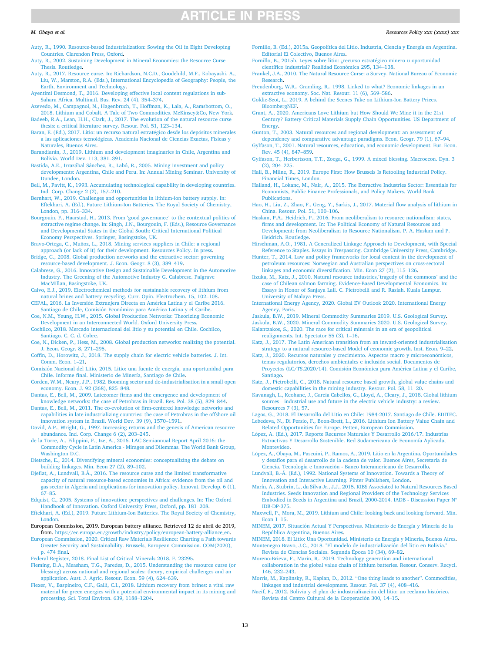### <span id="page-12-0"></span>*M. Obaya et al.*

#### *Resources Policy xxx (xxxx) xxx*

[Auty, R., 1990. Resource-based Industrialization: Sowing the Oil in Eight Developing](http://refhub.elsevier.com/S0301-4207(20)30943-0/sref8) [Countries. Clarendon Press, Oxford](http://refhub.elsevier.com/S0301-4207(20)30943-0/sref8).

[Auty, R., 2002. Sustaining Development in Mineral Economies: the Resource Curse](http://refhub.elsevier.com/S0301-4207(20)30943-0/sref9) [Thesis. Routledge.](http://refhub.elsevier.com/S0301-4207(20)30943-0/sref9)

[Auty, R., 2017. Resource curse. In: Richardson, N.C.D., Goodchild, M.F., Kobayashi, A.,](http://refhub.elsevier.com/S0301-4207(20)30943-0/sref10)  [Liu, W., Marston, R.A. \(Eds.\), International Encyclopedia of Geography: People, the](http://refhub.elsevier.com/S0301-4207(20)30943-0/sref10)  [Earth, Environment and Technology.](http://refhub.elsevier.com/S0301-4207(20)30943-0/sref10)

[Ayentimi Desmond, T., 2016. Developing effective local content regulations in sub-](http://refhub.elsevier.com/S0301-4207(20)30943-0/sref11)[Sahara Africa. Multinatl. Bus. Rev. 24 \(4\), 354](http://refhub.elsevier.com/S0301-4207(20)30943-0/sref11)–374.

[Azevedo, M., Campagnol, N., Hagenbruch, T., Hoffman, K., Lala, A., Ramsbottom, O.,](http://refhub.elsevier.com/S0301-4207(20)30943-0/sref12) [2018. Lithium and Cobalt. A Tale of Two Commodities. McKinsey](http://refhub.elsevier.com/S0301-4207(20)30943-0/sref12)&Co, New York. [Badeeb, R.A., Lean, H.H., Clark, J., 2017. The evolution of the natural resource curse](http://refhub.elsevier.com/S0301-4207(20)30943-0/sref13) 

[thesis: a critical literature survey. Resour. Pol. 51, 123](http://refhub.elsevier.com/S0301-4207(20)30943-0/sref13)–134. [Baran, E. \(Ed.\), 2017. Litio: un recurso natural estrat](http://refhub.elsevier.com/S0301-4207(20)30943-0/sref14)égico desde los depósitos minerales a las aplicaciones tecnológicas. Academia Nacional de Ciencias Exactas, Físicas y

[Naturales, Buenos Aires](http://refhub.elsevier.com/S0301-4207(20)30943-0/sref14). Barandiarán, [J., 2019. Lithium and development imaginaries in Chile, Argentina and](http://refhub.elsevier.com/S0301-4207(20)30943-0/sref15)

[Bolivia. World Dev. 113, 381](http://refhub.elsevier.com/S0301-4207(20)30943-0/sref15)–391. Bastida, A.E., Irrazábal Sánchez, R., Labó, [R., 2005. Mining investment and policy](http://refhub.elsevier.com/S0301-4207(20)30943-0/sref16) [developments: Argentina, Chile and Peru. In: Annual Mining Seminar. University of](http://refhub.elsevier.com/S0301-4207(20)30943-0/sref16)  [Dundee, London](http://refhub.elsevier.com/S0301-4207(20)30943-0/sref16).

[Bell, M., Pavitt, K., 1993. Accumulating technological capability in developing countries.](http://refhub.elsevier.com/S0301-4207(20)30943-0/sref17)  [Ind. Corp. Change 2 \(2\), 157](http://refhub.elsevier.com/S0301-4207(20)30943-0/sref17)–210.

[Bernhart, W., 2019. Challenges and opportunities in lithium-ion battery supply. In:](http://refhub.elsevier.com/S0301-4207(20)30943-0/sref18)  [Eftekhari, A. \(Ed.\), Future Lithium-Ion Batteries. The Royal Society of Chemistry,](http://refhub.elsevier.com/S0301-4207(20)30943-0/sref18)  [London, pp. 316](http://refhub.elsevier.com/S0301-4207(20)30943-0/sref18)–334.

[Bourgouin, F., Haarstad, H., 2013. From 'good governance](http://refhub.elsevier.com/S0301-4207(20)30943-0/sref19)' to the contextual politics of [extractive regime change. In: Singh, J.N., Bourgouin, F. \(Eds.\), Resource Governance](http://refhub.elsevier.com/S0301-4207(20)30943-0/sref19)  [and Developmental States in the Global South: Critical International Political](http://refhub.elsevier.com/S0301-4207(20)30943-0/sref19)  [Economy Perspectives. Springer, Basingstoke, UK.](http://refhub.elsevier.com/S0301-4207(20)30943-0/sref19)

Bravo-Ortega, C., Muñoz, L., 2018. Mining services suppliers in Chile: a regional [approach \(or lack of it\) for their development. Resources Policy. In press.](http://refhub.elsevier.com/S0301-4207(20)30943-0/sref20) [Bridge, G., 2008. Global production networks and the extractive sector: governing](http://refhub.elsevier.com/S0301-4207(20)30943-0/sref21)

[resource-based development. J. Econ. Geogr. 8 \(3\), 389](http://refhub.elsevier.com/S0301-4207(20)30943-0/sref21)–419. [Calabrese, G., 2016. Innovative Design and Sustainable Development in the Automotive](http://refhub.elsevier.com/S0301-4207(20)30943-0/sref22) 

[Industry. The Greening of the Automotive Industry G. Calabrese. Palgrave](http://refhub.elsevier.com/S0301-4207(20)30943-0/sref22)  [MacMillan, Basingstoke, UK](http://refhub.elsevier.com/S0301-4207(20)30943-0/sref22).

[Calvo, E.J., 2019. Electrochemical methods for sustainable recovery of lithium from](http://refhub.elsevier.com/S0301-4207(20)30943-0/sref23)  [natural brines and battery recycling. Curr. Opin. Electrochem. 15, 102](http://refhub.elsevier.com/S0301-4207(20)30943-0/sref23)–108.

CEPAL, 2016. La Inversión Extranjera Directa en América Latina y el Caribe 2016. Santiago de Chile, Comisión Económica para América Latina y el Caribe.

[Coe, N.M., Yeung, H.W., 2015. Global Production Networks: Theorizing Economic](http://refhub.elsevier.com/S0301-4207(20)30943-0/sref25) [Development in an Interconnected World. Oxford University Press.](http://refhub.elsevier.com/S0301-4207(20)30943-0/sref25)

[Cochilco, 2018. Mercado internacional del litio y su potential en Chile. Cochilco,](http://refhub.elsevier.com/S0301-4207(20)30943-0/sref100) [Santiago. C. C. d. Cobre.](http://refhub.elsevier.com/S0301-4207(20)30943-0/sref100) 

[Coe, N., Dicken, P., Hess, M., 2008. Global production networks: realizing the potential.](http://refhub.elsevier.com/S0301-4207(20)30943-0/sref26)  [J. Econ. Geogr. 8, 271](http://refhub.elsevier.com/S0301-4207(20)30943-0/sref26)–295.

[Coffin, D., Horowitz, J., 2018. The supply chain for electric vehicle batteries. J. Int.](http://refhub.elsevier.com/S0301-4207(20)30943-0/sref27) [Comm. Econ. 1](http://refhub.elsevier.com/S0301-4207(20)30943-0/sref27)–21.

Comisión Nacional del Litio, 2015. Litio: una fuente de energía, una oportunidad para [Chile. Informe final. Ministerio de Minería, Santiago de Chile.](http://refhub.elsevier.com/S0301-4207(20)30943-0/sref28)

[Corden, W.M., Neary, J.P., 1982. Booming sector and de-industrialisation in a small open](http://refhub.elsevier.com/S0301-4207(20)30943-0/sref29)  [economy. Econ. J. 92 \(368\), 825](http://refhub.elsevier.com/S0301-4207(20)30943-0/sref29)–848.

[Dantas, E., Bell, M., 2009. Latecomer firms and the emergence and development of](http://refhub.elsevier.com/S0301-4207(20)30943-0/sref30) [knowledge networks: the case of Petrobras in Brazil. Res. Pol. 38 \(5\), 829](http://refhub.elsevier.com/S0301-4207(20)30943-0/sref30)–844.

[Dantas, E., Bell, M., 2011. The co-evolution of firm-centered knowledge networks and](http://refhub.elsevier.com/S0301-4207(20)30943-0/sref31) [capabilities in late industrializing countries: the case of Petrobras in the offshore oil](http://refhub.elsevier.com/S0301-4207(20)30943-0/sref31)  [innovation system in Brazil. World Dev. 39 \(9\), 1570](http://refhub.elsevier.com/S0301-4207(20)30943-0/sref31)–1591.

[David, A.P., Wright, G., 1997. Increasing returns and the genesis of American resource](http://refhub.elsevier.com/S0301-4207(20)30943-0/sref32) [abundance. Ind. Corp. Change 6 \(2\), 203](http://refhub.elsevier.com/S0301-4207(20)30943-0/sref32)–245.

[de la Torre, A., Filippini, F., Ize, A., 2016. LAC Semiannual Report April 2016: the](http://refhub.elsevier.com/S0301-4207(20)30943-0/sref33)  [Commodity Cycle in Latin America - Mirages and Dilemmas. The World Bank Group,](http://refhub.elsevier.com/S0301-4207(20)30943-0/sref33)  [Washington D.C.](http://refhub.elsevier.com/S0301-4207(20)30943-0/sref33)

[Dietsche, E., 2014. Diversifying mineral economies: conceptualizing the debate on](http://refhub.elsevier.com/S0301-4207(20)30943-0/sref34)  [building linkages. Min. Econ 27 \(2\), 89](http://refhub.elsevier.com/S0301-4207(20)30943-0/sref34)–102.

[Djeflat, A., Lundvall, B.Å., 2016. The resource curse and the limited transformative](http://refhub.elsevier.com/S0301-4207(20)30943-0/sref35)  [capacity of natural resource-based economies in Africa: evidence from the oil and](http://refhub.elsevier.com/S0301-4207(20)30943-0/sref35) [gas sector in Algeria and implications for innovation policy. Innovat. Develop. 6 \(1\),](http://refhub.elsevier.com/S0301-4207(20)30943-0/sref35)  67–[85](http://refhub.elsevier.com/S0301-4207(20)30943-0/sref35).

[Edquist, C., 2005. Systems of innovation: perspectives and challenges. In: The Oxford](http://refhub.elsevier.com/S0301-4207(20)30943-0/sref36)  [Handbook of Innovation. Oxford University Press, Oxford, pp. 181](http://refhub.elsevier.com/S0301-4207(20)30943-0/sref36)–208.

[Eftekhari, A. \(Ed.\), 2019. Future Lithium-Ion Batteries. The Royal Society of Chemistry,](http://refhub.elsevier.com/S0301-4207(20)30943-0/sref37)  [London.](http://refhub.elsevier.com/S0301-4207(20)30943-0/sref37)

European Commission, 2019. European battery alliance. Retrieved 12 de abril de 2019, from. [https://ec.europa.eu/growth/industry/policy/european-battery-alliance\\_en](https://ec.europa.eu/growth/industry/policy/european-battery-alliance_en).

[European Commission, 2020. Critical Raw Materials Resilience: Charting a Path towards](http://refhub.elsevier.com/S0301-4207(20)30943-0/sref39)  [Greater Security and Sustainability. Brussels, European Commission. COM\(2020\),](http://refhub.elsevier.com/S0301-4207(20)30943-0/sref39)  [p. 474 final.](http://refhub.elsevier.com/S0301-4207(20)30943-0/sref39)

[Federal Register, 2018. Final List of Critical Minerals 2018. F. 23295.](http://refhub.elsevier.com/S0301-4207(20)30943-0/sref40)

[Fleming, D.A., Measham, T.G., Paredes, D., 2015. Understanding the resource curse \(or](http://refhub.elsevier.com/S0301-4207(20)30943-0/sref41)  [blessing\) across national and regional scales: theory, empirical challenges and an](http://refhub.elsevier.com/S0301-4207(20)30943-0/sref41) [application. Aust. J. Agric. Resour. Econ. 59 \(4\), 624](http://refhub.elsevier.com/S0301-4207(20)30943-0/sref41)–639.

[Flexer, V., Baspineiro, C.F., Galli, C.I., 2018. Lithium recovery from brines: a vital raw](http://refhub.elsevier.com/S0301-4207(20)30943-0/sref42)  [material for green energies with a potential environmental impact in its mining and](http://refhub.elsevier.com/S0301-4207(20)30943-0/sref42)  [processing. Sci. Total Environ. 639, 1188](http://refhub.elsevier.com/S0301-4207(20)30943-0/sref42)–1204.

[Fornillo, B. \(Ed.\), 2015a. Geopolítica del Litio. Industria, Ciencia y Energía en Argentina.](http://refhub.elsevier.com/S0301-4207(20)30943-0/sref43)  [Editorial El Colectivo, Buenos Aires.](http://refhub.elsevier.com/S0301-4207(20)30943-0/sref43)

[Fornillo, B., 2015b. Leyes sobre litio:](http://refhub.elsevier.com/S0301-4207(20)30943-0/sref44) ¿recurso estratégico minero u oportunidad científico industrial? Realidad Económica 295, 134–138.

[Frankel, J.A., 2010. The Natural Resource Curse: a Survey. National Bureau of Economic](http://refhub.elsevier.com/S0301-4207(20)30943-0/sref45)  [Research.](http://refhub.elsevier.com/S0301-4207(20)30943-0/sref45)

[Freudenburg, W.R., Gramling, R., 1998. Linked to what? Economic linkages in an](http://refhub.elsevier.com/S0301-4207(20)30943-0/sref46) [extractive economy. Soc. Nat. Resour. 11 \(6\), 569](http://refhub.elsevier.com/S0301-4207(20)30943-0/sref46)–586.

[Goldie-Scot, L., 2019. A behind the Scenes Take on Lithium-Ion Battery Prices.](http://refhub.elsevier.com/S0301-4207(20)30943-0/sref47)  [BloombergNEF.](http://refhub.elsevier.com/S0301-4207(20)30943-0/sref47)

[Grant, A., 2020. Americans Love Lithium but How Should We Mine it in the 21st](http://refhub.elsevier.com/S0301-4207(20)30943-0/sref48) [Century? Battery Critical Materials Supply Chain Opportunities. US Department of](http://refhub.elsevier.com/S0301-4207(20)30943-0/sref48)  [Energy](http://refhub.elsevier.com/S0301-4207(20)30943-0/sref48).

[Gunton, T., 2003. Natural resources and regional development: an assessment of](http://refhub.elsevier.com/S0301-4207(20)30943-0/sref49)  [dependency and comparative advantage paradigms. Econ. Geogr. 79 \(1\), 67](http://refhub.elsevier.com/S0301-4207(20)30943-0/sref49)–94.

- [Gylfason, T., 2001. Natural resources, education, and economic development. Eur. Econ.](http://refhub.elsevier.com/S0301-4207(20)30943-0/sref50)  [Rev. 45 \(4\), 847](http://refhub.elsevier.com/S0301-4207(20)30943-0/sref50)–859. [Gylfason, T., Herbertsson, T.T., Zoega, G., 1999. A mixed blessing. Macroecon. Dyn. 3](http://refhub.elsevier.com/S0301-4207(20)30943-0/sref51)
- [\(2\), 204](http://refhub.elsevier.com/S0301-4207(20)30943-0/sref51)–225.
- [Hall, B., Milne, R., 2019. Europe First: How Brussels Is Retooling Industrial Policy.](http://refhub.elsevier.com/S0301-4207(20)30943-0/sref52) [Financial Times, London](http://refhub.elsevier.com/S0301-4207(20)30943-0/sref52).

[Halland, H., Lokanc, M., Nair, A., 2015. The Extractive Industries Sector: Essentials for](http://refhub.elsevier.com/S0301-4207(20)30943-0/sref53)  [Economists, Public Finance Professionals, and Policy Makers. World Bank](http://refhub.elsevier.com/S0301-4207(20)30943-0/sref53)  [Publications](http://refhub.elsevier.com/S0301-4207(20)30943-0/sref53).

[Hao, H., Liu, Z., Zhao, F., Geng, Y., Sarkis, J., 2017. Material flow analysis of lithium in](http://refhub.elsevier.com/S0301-4207(20)30943-0/sref54)  [China. Resour. Pol. 51, 100](http://refhub.elsevier.com/S0301-4207(20)30943-0/sref54)–106.

[Haslam, P.A., Heidrich, P., 2016. From neoliberalism to resource nationalism: states,](http://refhub.elsevier.com/S0301-4207(20)30943-0/sref55)  [firms and development. In: The Political Economy of Natural Resources and](http://refhub.elsevier.com/S0301-4207(20)30943-0/sref55)  [Development: from Neoliberalism to Resource Nationalism. P. A. Haslam and P.](http://refhub.elsevier.com/S0301-4207(20)30943-0/sref55) [Heidrich. Routledge](http://refhub.elsevier.com/S0301-4207(20)30943-0/sref55).

[Hirschman, A.O., 1981. A Generalized Linkage Approach to Development, with Special](http://refhub.elsevier.com/S0301-4207(20)30943-0/sref56) [Reference to Staples. Essays in Trespassing. Cambridge University Press, Cambridge.](http://refhub.elsevier.com/S0301-4207(20)30943-0/sref56)

[Hunter, T., 2014. Law and policy frameworks for local content in the development of](http://refhub.elsevier.com/S0301-4207(20)30943-0/sref57)  [petroleum resources: Norwegian and Australian perspectives on cross-sectoral](http://refhub.elsevier.com/S0301-4207(20)30943-0/sref57) [linkages and economic diversification. Min. Econ 27 \(2\), 115](http://refhub.elsevier.com/S0301-4207(20)30943-0/sref57)–126.

[Iizuka, M., Katz, J., 2010. Natural resource industries,](http://refhub.elsevier.com/S0301-4207(20)30943-0/sref58)'tragedy of the commons' and the [case of Chilean salmon farming. Evidence-Based Developmental Economics. In:](http://refhub.elsevier.com/S0301-4207(20)30943-0/sref58) [Essays in Honor of Sanjaya Lall. C. Pietrobelli and R. Rasiah. Kuala Lumpur.](http://refhub.elsevier.com/S0301-4207(20)30943-0/sref58)  [University of Malaya Press.](http://refhub.elsevier.com/S0301-4207(20)30943-0/sref58)

[International Energy Agency, 2020. Global EV Outlook 2020. International Energy](http://refhub.elsevier.com/S0301-4207(20)30943-0/sref59) [Agency, Paris](http://refhub.elsevier.com/S0301-4207(20)30943-0/sref59).

[Jaskula, B.W., 2019. Mineral Commodity Summaries 2019. U.S. Geological Survey](http://refhub.elsevier.com/S0301-4207(20)30943-0/sref60).

[Jaskula, B.W., 2020. Mineral Commodity Summaries 2020. U.S. Geological Survey](http://refhub.elsevier.com/S0301-4207(20)30943-0/sref61).

[Kalantzakos, S., 2020. The race for critical minerals in an era of geopolitical](http://refhub.elsevier.com/S0301-4207(20)30943-0/sref62)  [realignments. Int. Spectator 55 \(3\), 1](http://refhub.elsevier.com/S0301-4207(20)30943-0/sref62)–16.

[Katz, J., 2017. The Latin American transition from an inward-oriented industrialisation](http://refhub.elsevier.com/S0301-4207(20)30943-0/sref63)  [strategy to a natural resource-based Model of economic growth. Inst. Econ. 9](http://refhub.elsevier.com/S0301-4207(20)30943-0/sref63)–22.

Katz, J., 2020. Recursos naturales y crecimiento. Aspectos macro y microeconómicos, temas regulatorios, derechos ambientales e inclusión social. Documentos de Proyectos (LC/TS.2020/14). Comisión Económica para América Latina y el Caribe, [Santiago.](http://refhub.elsevier.com/S0301-4207(20)30943-0/sref64)

[Katz, J., Pietrobelli, C., 2018. Natural resource based growth, global value chains and](http://refhub.elsevier.com/S0301-4207(20)30943-0/sref65)  [domestic capabilities in the mining industry. Resour. Pol. 58, 11](http://refhub.elsevier.com/S0301-4207(20)30943-0/sref65)–20.

[Kavanagh, L., Keohane, J., Garcia Cabellos, G., Lloyd, A., Cleary, J., 2018. Global lithium](http://refhub.elsevier.com/S0301-4207(20)30943-0/sref66)  sources—[industrial use and future in the electric vehicle industry: a review.](http://refhub.elsevier.com/S0301-4207(20)30943-0/sref66) [Resources 7 \(3\), 57.](http://refhub.elsevier.com/S0301-4207(20)30943-0/sref66)

[Lagos, G., 2018. El Desarrollo del Litio en Chile: 1984-2017. Santiago de Chile. EDITEC.](http://refhub.elsevier.com/S0301-4207(20)30943-0/sref67) [Lebedeva, N., Di Persio, F., Boon-Brett, L., 2016. Lithium Ion Battery Value Chain and](http://refhub.elsevier.com/S0301-4207(20)30943-0/sref68)

[Related Opportunities for Europe. Petten, European Commission](http://refhub.elsevier.com/S0301-4207(20)30943-0/sref68).<br>1992, [A. \(Ed.\), 2017. Reporte Recursos Naturales Y Desarrollo 2016/17. Industrias](http://refhub.elsevier.com/S0301-4207(20)30943-0/sref69)

[Extractivas Y Desarrollo Sostenible. Red Sudamericana de Economía Aplicada,](http://refhub.elsevier.com/S0301-4207(20)30943-0/sref69)  [Montevideo](http://refhub.elsevier.com/S0301-4207(20)30943-0/sref69).

López, A., Obaya, M., Pascuini, P., Ramos, A., 2019. Litio en la Argentina. Oportunidades [y desafíos para el desarrollo de la cadena de valor. Buenos Aires, Secretaría de](http://refhub.elsevier.com/S0301-4207(20)30943-0/sref70)  Ciencia, Tecnología e Innovación [- Banco Interamericano de Desarrollo.](http://refhub.elsevier.com/S0301-4207(20)30943-0/sref70)

[Lundvall, B.-Å. \(Ed.\), 1992. National Systems of Innovation. Towards a Theory of](http://refhub.elsevier.com/S0301-4207(20)30943-0/sref71) [Innovation and Interactive Learning. Pinter Publishers, London](http://refhub.elsevier.com/S0301-4207(20)30943-0/sref71).

[Marín, A., Stubrin, L., da Silva Jr., J.J., 2015. KIBS Associated to Natural Resources Based](http://refhub.elsevier.com/S0301-4207(20)30943-0/sref72)  [Industries. Seeds Innovation and Regional Providers of the Technology Services](http://refhub.elsevier.com/S0301-4207(20)30943-0/sref72)  [Embodied in Seeds in Argentina and Brazil, 2000-2014. IADB - Discussion Paper N](http://refhub.elsevier.com/S0301-4207(20)30943-0/sref72)º [IDB-DP-375.](http://refhub.elsevier.com/S0301-4207(20)30943-0/sref72)

[Maxwell, P., Mora, M., 2019. Lithium and Chile: looking back and looking forward. Min.](http://refhub.elsevier.com/S0301-4207(20)30943-0/sref73)  [Econ 1](http://refhub.elsevier.com/S0301-4207(20)30943-0/sref73)–15.

MINEM, 2017. Situación Actual Y Perspectivas. Ministerio de Energía y Minería de la [República Argentina, Buenos Aires](http://refhub.elsevier.com/S0301-4207(20)30943-0/sref74).

[MINEM, 2018. El Litio: Una Oportunidad. Ministerio de Energía y Minería, Buenos Aires.](http://refhub.elsevier.com/S0301-4207(20)30943-0/sref75) Montenegro Bravo, J.C., 2018. "El modelo de industrialización del litio en Bolivia."

Revista de Ciencias Sociales. Segunda Época 10 (34), 69-82. [Moreno-Brieva, F., Marín, R., 2019. Technology generation and international](http://refhub.elsevier.com/S0301-4207(20)30943-0/sref78) 

[collaboration in the global value chain of lithium batteries. Resour. Conserv. Recycl.](http://refhub.elsevier.com/S0301-4207(20)30943-0/sref78)  [146, 232](http://refhub.elsevier.com/S0301-4207(20)30943-0/sref78)–243.

[Morris, M., Kaplinsky, R., Kaplan, D., 2012.](http://refhub.elsevier.com/S0301-4207(20)30943-0/sref79) "One thing leads to another". Commodities, [linkages and industrial development. Resour. Pol. 37 \(4\), 408](http://refhub.elsevier.com/S0301-4207(20)30943-0/sref79)–416.

Nacif, F., 2012. Bolivia y el plan de industrialización del litio: un reclamo histórico. Revista del Centro Cultural de la Cooperación 300, 14–15.